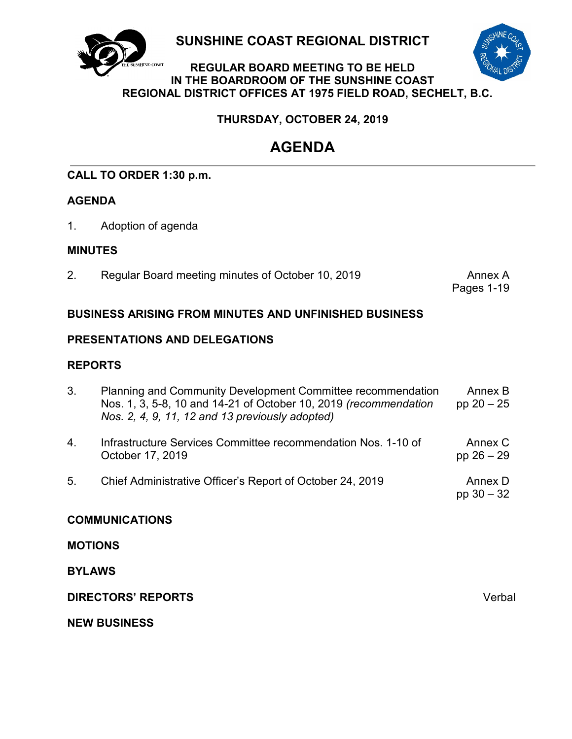

**SUNSHINE COAST REGIONAL DISTRICT**

### **REGULAR BOARD MEETING TO BE HELD IN THE BOARDROOM OF THE SUNSHINE COAST REGIONAL DISTRICT OFFICES AT 1975 FIELD ROAD, SECHELT, B.C.**

## **THURSDAY, OCTOBER 24, 2019**

# **AGENDA**

## **CALL TO ORDER 1:30 p.m.**

## **AGENDA**

1. Adoption of agenda

## **MINUTES**

2. [Regular Board meeting minutes of](#page-3-0) October 10, 2019 Annex A

Pages 1-19

## **BUSINESS ARISING FROM MINUTES AND UNFINISHED BUSINESS**

## **PRESENTATIONS AND DELEGATIONS**

## **REPORTS**

| 3.                    | Planning and Community Development Committee recommendation<br>Nos. 1, 3, 5-8, 10 and 14-21 of October 10, 2019 (recommendation<br>Nos. 2, 4, 9, 11, 12 and 13 previously adopted) | Annex B<br>pp $20 - 25$ |  |  |
|-----------------------|------------------------------------------------------------------------------------------------------------------------------------------------------------------------------------|-------------------------|--|--|
| $\overline{4}$ .      | Infrastructure Services Committee recommendation Nos. 1-10 of<br>October 17, 2019                                                                                                  | Annex C<br>pp $26 - 29$ |  |  |
| 5.                    | Chief Administrative Officer's Report of October 24, 2019                                                                                                                          | Annex D<br>pp $30 - 32$ |  |  |
| <b>COMMUNICATIONS</b> |                                                                                                                                                                                    |                         |  |  |
| <b>MOTIONS</b>        |                                                                                                                                                                                    |                         |  |  |
| <b>BYLAWS</b>         |                                                                                                                                                                                    |                         |  |  |

**NEW BUSINESS**

**DIRECTORS' REPORTS** Verbal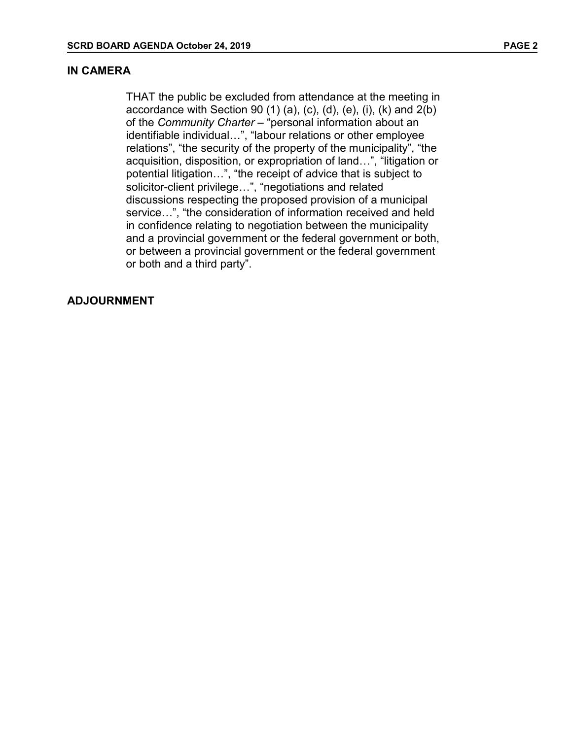#### **IN CAMERA**

THAT the public be excluded from attendance at the meeting in accordance with Section 90  $(1)$   $(a)$ ,  $(c)$ ,  $(d)$ ,  $(e)$ ,  $(i)$ ,  $(k)$  and  $2(b)$ of the *Community Charter* – "personal information about an identifiable individual…", "labour relations or other employee relations", "the security of the property of the municipality", "the acquisition, disposition, or expropriation of land…", "litigation or potential litigation…", "the receipt of advice that is subject to solicitor-client privilege…", "negotiations and related discussions respecting the proposed provision of a municipal service…", "the consideration of information received and held in confidence relating to negotiation between the municipality and a provincial government or the federal government or both, or between a provincial government or the federal government or both and a third party".

#### **ADJOURNMENT**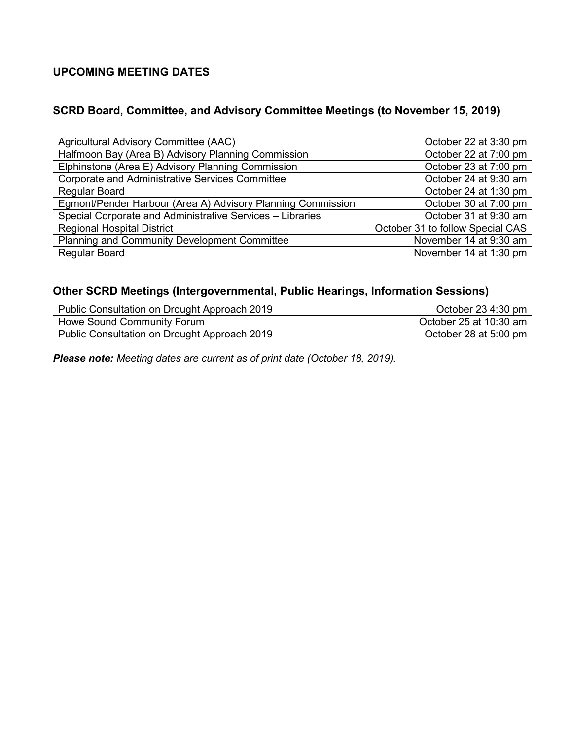## **UPCOMING MEETING DATES**

## **SCRD Board, Committee, and Advisory Committee Meetings (to November 15, 2019)**

| Agricultural Advisory Committee (AAC)                       | October 22 at 3:30 pm            |
|-------------------------------------------------------------|----------------------------------|
| Halfmoon Bay (Area B) Advisory Planning Commission          | October 22 at 7:00 pm            |
| Elphinstone (Area E) Advisory Planning Commission           | October 23 at 7:00 pm            |
| <b>Corporate and Administrative Services Committee</b>      | October 24 at 9:30 am            |
| <b>Regular Board</b>                                        | October 24 at 1:30 pm            |
| Egmont/Pender Harbour (Area A) Advisory Planning Commission | October 30 at 7:00 pm            |
| Special Corporate and Administrative Services - Libraries   | October 31 at 9:30 am            |
| <b>Regional Hospital District</b>                           | October 31 to follow Special CAS |
| <b>Planning and Community Development Committee</b>         | November 14 at 9:30 am           |
| <b>Regular Board</b>                                        | November 14 at 1:30 pm           |

## **Other SCRD Meetings (Intergovernmental, Public Hearings, Information Sessions)**

| Public Consultation on Drought Approach 2019 | October 23 4:30 pm     |
|----------------------------------------------|------------------------|
| Howe Sound Community Forum                   | October 25 at 10:30 am |
| Public Consultation on Drought Approach 2019 | October 28 at 5:00 pm  |

*Please note: Meeting dates are current as of print date (October 18, 2019).*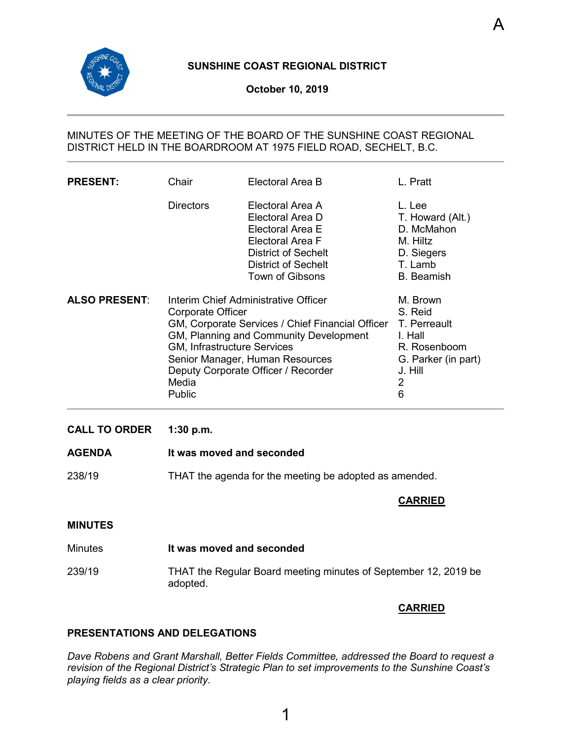<span id="page-3-0"></span>

#### **SUNSHINE COAST REGIONAL DISTRICT**

#### MINUTES OF THE MEETING OF THE BOARD OF THE SUNSHINE COAST REGIONAL DISTRICT HELD IN THE BOARDROOM AT 1975 FIELD ROAD, SECHELT, B.C.

| <b>PRESENT:</b>      | Chair                                                                                                                                                                                                                                                                               | Electoral Area B                                                                                                                                                   | L. Pratt                                                                                                   |
|----------------------|-------------------------------------------------------------------------------------------------------------------------------------------------------------------------------------------------------------------------------------------------------------------------------------|--------------------------------------------------------------------------------------------------------------------------------------------------------------------|------------------------------------------------------------------------------------------------------------|
|                      | <b>Directors</b>                                                                                                                                                                                                                                                                    | Electoral Area A<br>Electoral Area D<br>Electoral Area E<br>Electoral Area F<br><b>District of Sechelt</b><br><b>District of Sechelt</b><br><b>Town of Gibsons</b> | L. Lee<br>T. Howard (Alt.)<br>D. McMahon<br>M. Hiltz<br>D. Siegers<br>T. Lamb<br><b>B.</b> Beamish         |
| <b>ALSO PRESENT:</b> | Interim Chief Administrative Officer<br>Corporate Officer<br>GM, Corporate Services / Chief Financial Officer<br>GM, Planning and Community Development<br>GM, Infrastructure Services<br>Senior Manager, Human Resources<br>Deputy Corporate Officer / Recorder<br>Media<br>Public |                                                                                                                                                                    | M. Brown<br>S. Reid<br>T. Perreault<br>I. Hall<br>R. Rosenboom<br>G. Parker (in part)<br>J. Hill<br>2<br>6 |
| <b>CALL TO ORDER</b> | 1:30 p.m.                                                                                                                                                                                                                                                                           |                                                                                                                                                                    |                                                                                                            |

- **AGENDA It was moved and seconded**
- 238/19 THAT the agenda for the meeting be adopted as amended.

#### **CARRIED**

A

#### **MINUTES**

- Minutes **It was moved and seconded**
- 239/19 THAT the Regular Board meeting minutes of September 12, 2019 be adopted.

#### **CARRIED**

#### **PRESENTATIONS AND DELEGATIONS**

*Dave Robens and Grant Marshall, Better Fields Committee, addressed the Board to request a revision of the Regional District's Strategic Plan to set improvements to the Sunshine Coast's playing fields as a clear priority.*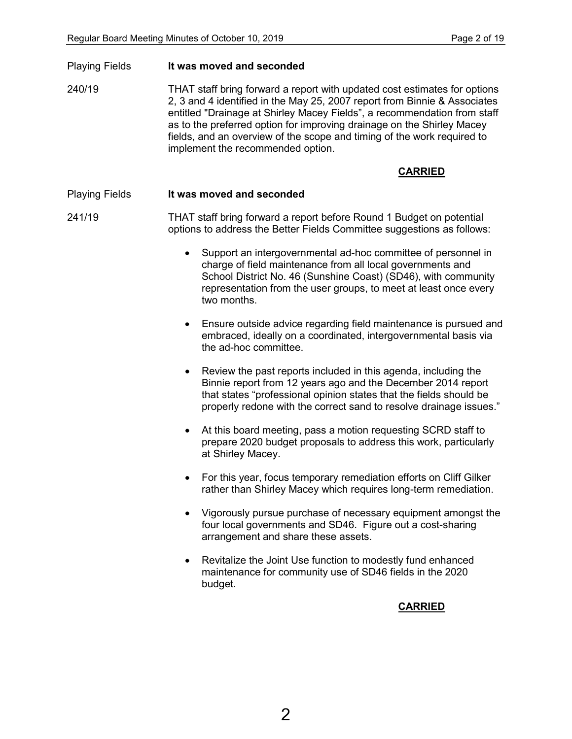Playing Fields **It was moved and seconded**

240/19 THAT staff bring forward a report with updated cost estimates for options 2, 3 and 4 identified in the May 25, 2007 report from Binnie & Associates entitled "Drainage at Shirley Macey Fields", a recommendation from staff as to the preferred option for improving drainage on the Shirley Macey fields, and an overview of the scope and timing of the work required to implement the recommended option.

#### **CARRIED**

#### Playing Fields **It was moved and seconded**

241/19 THAT staff bring forward a report before Round 1 Budget on potential options to address the Better Fields Committee suggestions as follows:

- Support an intergovernmental ad-hoc committee of personnel in charge of field maintenance from all local governments and School District No. 46 (Sunshine Coast) (SD46), with community representation from the user groups, to meet at least once every two months.
- Ensure outside advice regarding field maintenance is pursued and embraced, ideally on a coordinated, intergovernmental basis via the ad-hoc committee.
- Review the past reports included in this agenda, including the Binnie report from 12 years ago and the December 2014 report that states "professional opinion states that the fields should be properly redone with the correct sand to resolve drainage issues."
- At this board meeting, pass a motion requesting SCRD staff to prepare 2020 budget proposals to address this work, particularly at Shirley Macey.
- For this year, focus temporary remediation efforts on Cliff Gilker rather than Shirley Macey which requires long-term remediation.
- Vigorously pursue purchase of necessary equipment amongst the four local governments and SD46. Figure out a cost-sharing arrangement and share these assets.
- Revitalize the Joint Use function to modestly fund enhanced maintenance for community use of SD46 fields in the 2020 budget.

**CARRIED**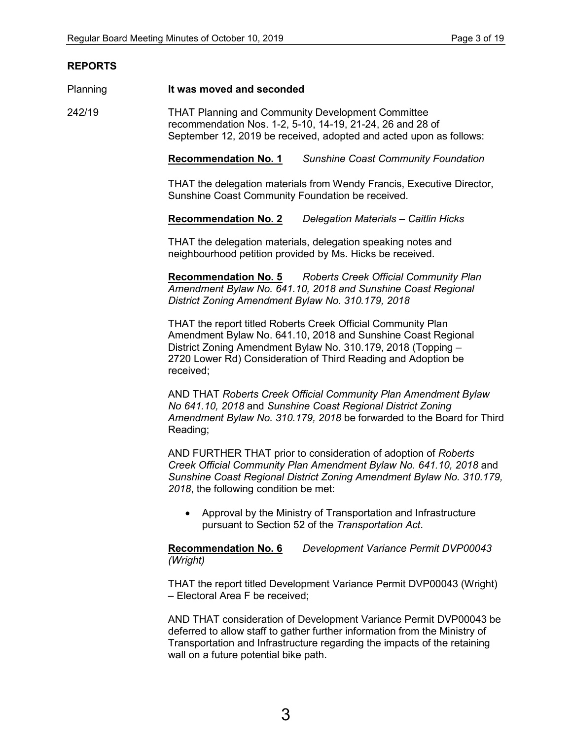#### **REPORTS**

#### Planning **It was moved and seconded**

242/19 THAT Planning and Community Development Committee recommendation Nos. 1-2, 5-10, 14-19, 21-24, 26 and 28 of September 12, 2019 be received, adopted and acted upon as follows:

**Recommendation No. 1** *Sunshine Coast Community Foundation*

THAT the delegation materials from Wendy Francis, Executive Director, Sunshine Coast Community Foundation be received.

**Recommendation No. 2** *Delegation Materials – Caitlin Hicks*

THAT the delegation materials, delegation speaking notes and neighbourhood petition provided by Ms. Hicks be received.

**Recommendation No. 5** *Roberts Creek Official Community Plan Amendment Bylaw No. 641.10, 2018 and Sunshine Coast Regional District Zoning Amendment Bylaw No. 310.179, 2018*

THAT the report titled Roberts Creek Official Community Plan Amendment Bylaw No. 641.10, 2018 and Sunshine Coast Regional District Zoning Amendment Bylaw No. 310.179, 2018 (Topping – 2720 Lower Rd) Consideration of Third Reading and Adoption be received;

AND THAT *Roberts Creek Official Community Plan Amendment Bylaw No 641.10, 2018* and *Sunshine Coast Regional District Zoning Amendment Bylaw No. 310.179, 2018* be forwarded to the Board for Third Reading;

AND FURTHER THAT prior to consideration of adoption of *Roberts Creek Official Community Plan Amendment Bylaw No. 641.10, 2018* and *Sunshine Coast Regional District Zoning Amendment Bylaw No. 310.179, 2018*, the following condition be met:

• Approval by the Ministry of Transportation and Infrastructure pursuant to Section 52 of the *Transportation Act*.

**Recommendation No. 6** *Development Variance Permit DVP00043 (Wright)*

THAT the report titled Development Variance Permit DVP00043 (Wright) – Electoral Area F be received;

AND THAT consideration of Development Variance Permit DVP00043 be deferred to allow staff to gather further information from the Ministry of Transportation and Infrastructure regarding the impacts of the retaining wall on a future potential bike path.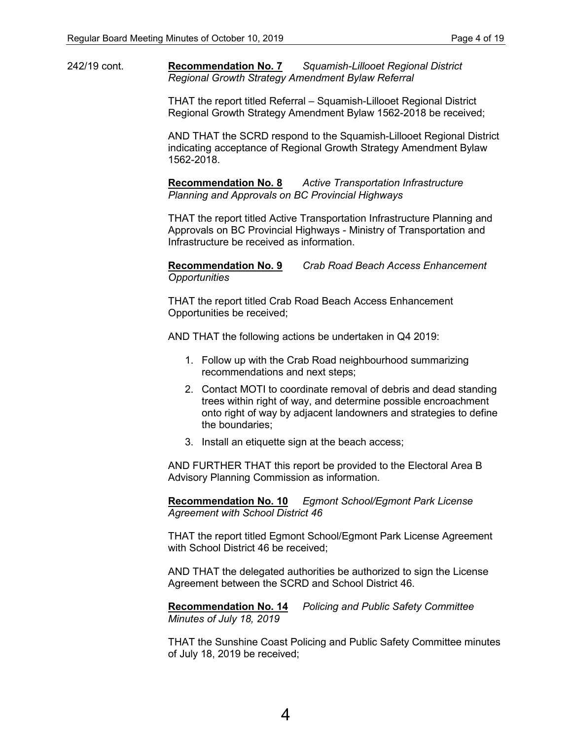242/19 cont. **Recommendation No. 7** *Squamish-Lillooet Regional District Regional Growth Strategy Amendment Bylaw Referral*

> THAT the report titled Referral – Squamish-Lillooet Regional District Regional Growth Strategy Amendment Bylaw 1562-2018 be received;

AND THAT the SCRD respond to the Squamish-Lillooet Regional District indicating acceptance of Regional Growth Strategy Amendment Bylaw 1562-2018.

**Recommendation No. 8** *Active Transportation Infrastructure Planning and Approvals on BC Provincial Highways*

THAT the report titled Active Transportation Infrastructure Planning and Approvals on BC Provincial Highways - Ministry of Transportation and Infrastructure be received as information.

**Recommendation No. 9** *Crab Road Beach Access Enhancement Opportunities*

THAT the report titled Crab Road Beach Access Enhancement Opportunities be received;

AND THAT the following actions be undertaken in Q4 2019:

- 1. Follow up with the Crab Road neighbourhood summarizing recommendations and next steps;
- 2. Contact MOTI to coordinate removal of debris and dead standing trees within right of way, and determine possible encroachment onto right of way by adjacent landowners and strategies to define the boundaries;
- 3. Install an etiquette sign at the beach access;

AND FURTHER THAT this report be provided to the Electoral Area B Advisory Planning Commission as information.

**Recommendation No. 10** *Egmont School/Egmont Park License Agreement with School District 46*

THAT the report titled Egmont School/Egmont Park License Agreement with School District 46 be received;

AND THAT the delegated authorities be authorized to sign the License Agreement between the SCRD and School District 46.

**Recommendation No. 14** *Policing and Public Safety Committee Minutes of July 18, 2019*

THAT the Sunshine Coast Policing and Public Safety Committee minutes of July 18, 2019 be received;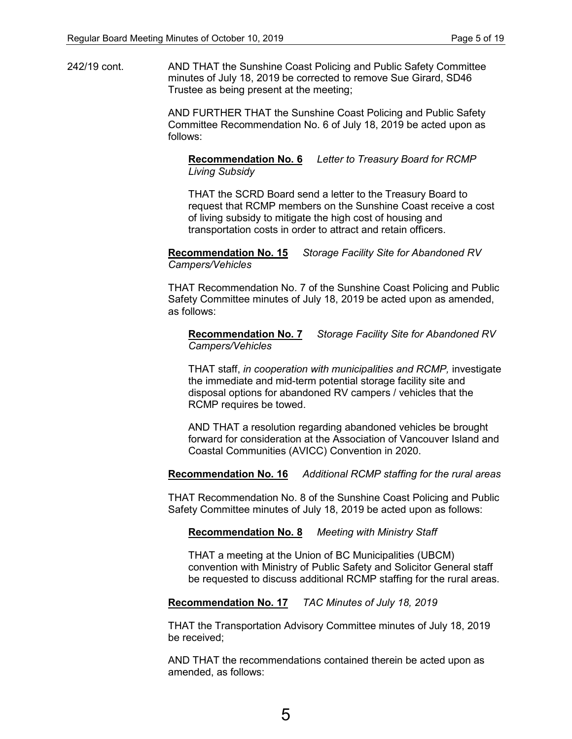242/19 cont. AND THAT the Sunshine Coast Policing and Public Safety Committee minutes of July 18, 2019 be corrected to remove Sue Girard, SD46 Trustee as being present at the meeting;

> AND FURTHER THAT the Sunshine Coast Policing and Public Safety Committee Recommendation No. 6 of July 18, 2019 be acted upon as follows:

#### **Recommendation No. 6** *Letter to Treasury Board for RCMP Living Subsidy*

THAT the SCRD Board send a letter to the Treasury Board to request that RCMP members on the Sunshine Coast receive a cost of living subsidy to mitigate the high cost of housing and transportation costs in order to attract and retain officers.

#### **Recommendation No. 15** *Storage Facility Site for Abandoned RV Campers/Vehicles*

THAT Recommendation No. 7 of the Sunshine Coast Policing and Public Safety Committee minutes of July 18, 2019 be acted upon as amended, as follows:

#### **Recommendation No. 7** *Storage Facility Site for Abandoned RV Campers/Vehicles*

THAT staff, *in cooperation with municipalities and RCMP,* investigate the immediate and mid-term potential storage facility site and disposal options for abandoned RV campers / vehicles that the RCMP requires be towed.

AND THAT a resolution regarding abandoned vehicles be brought forward for consideration at the Association of Vancouver Island and Coastal Communities (AVICC) Convention in 2020.

#### **Recommendation No. 16** *Additional RCMP staffing for the rural areas*

THAT Recommendation No. 8 of the Sunshine Coast Policing and Public Safety Committee minutes of July 18, 2019 be acted upon as follows:

#### **Recommendation No. 8** *Meeting with Ministry Staff*

THAT a meeting at the Union of BC Municipalities (UBCM) convention with Ministry of Public Safety and Solicitor General staff be requested to discuss additional RCMP staffing for the rural areas.

#### **Recommendation No. 17** *TAC Minutes of July 18, 2019*

THAT the Transportation Advisory Committee minutes of July 18, 2019 be received;

AND THAT the recommendations contained therein be acted upon as amended, as follows: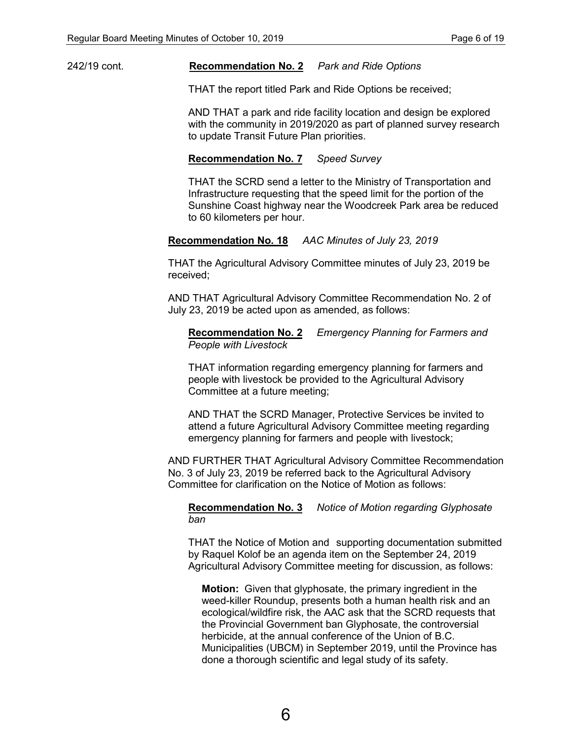242/19 cont. **Recommendation No. 2** *Park and Ride Options*

THAT the report titled Park and Ride Options be received;

AND THAT a park and ride facility location and design be explored with the community in 2019/2020 as part of planned survey research to update Transit Future Plan priorities.

#### **Recommendation No. 7** *Speed Survey*

THAT the SCRD send a letter to the Ministry of Transportation and Infrastructure requesting that the speed limit for the portion of the Sunshine Coast highway near the Woodcreek Park area be reduced to 60 kilometers per hour.

#### **Recommendation No. 18** *AAC Minutes of July 23, 2019*

THAT the Agricultural Advisory Committee minutes of July 23, 2019 be received;

AND THAT Agricultural Advisory Committee Recommendation No. 2 of July 23, 2019 be acted upon as amended, as follows:

**Recommendation No. 2** *Emergency Planning for Farmers and People with Livestock*

THAT information regarding emergency planning for farmers and people with livestock be provided to the Agricultural Advisory Committee at a future meeting;

AND THAT the SCRD Manager, Protective Services be invited to attend a future Agricultural Advisory Committee meeting regarding emergency planning for farmers and people with livestock;

AND FURTHER THAT Agricultural Advisory Committee Recommendation No. 3 of July 23, 2019 be referred back to the Agricultural Advisory Committee for clarification on the Notice of Motion as follows:

#### **Recommendation No. 3** *Notice of Motion regarding Glyphosate ban*

THAT the Notice of Motion and supporting documentation submitted by Raquel Kolof be an agenda item on the September 24, 2019 Agricultural Advisory Committee meeting for discussion, as follows:

**Motion:** Given that glyphosate, the primary ingredient in the weed-killer Roundup, presents both a human health risk and an ecological/wildfire risk, the AAC ask that the SCRD requests that the Provincial Government ban Glyphosate, the controversial herbicide, at the annual conference of the Union of B.C. Municipalities (UBCM) in September 2019, until the Province has done a thorough scientific and legal study of its safety.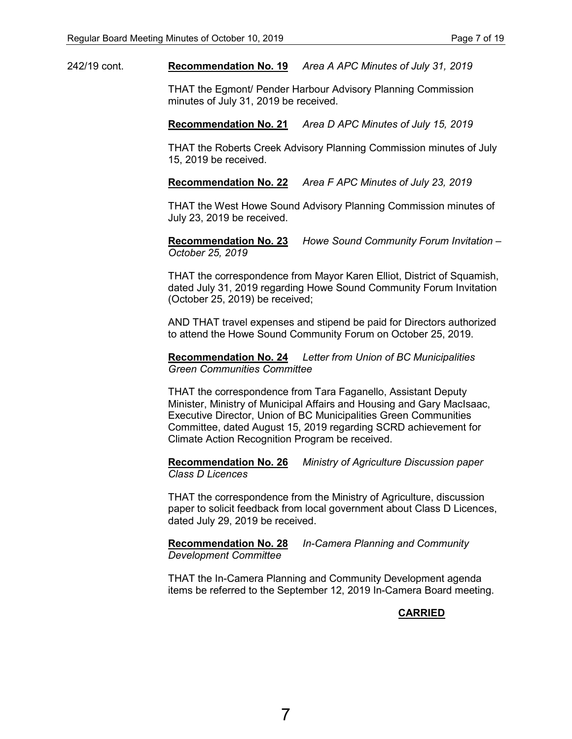242/19 cont. **Recommendation No. 19** *Area A APC Minutes of July 31, 2019*

THAT the Egmont/ Pender Harbour Advisory Planning Commission minutes of July 31, 2019 be received.

**Recommendation No. 21** *Area D APC Minutes of July 15, 2019*

THAT the Roberts Creek Advisory Planning Commission minutes of July 15, 2019 be received.

**Recommendation No. 22** *Area F APC Minutes of July 23, 2019*

THAT the West Howe Sound Advisory Planning Commission minutes of July 23, 2019 be received.

**Recommendation No. 23** *Howe Sound Community Forum Invitation – October 25, 2019*

THAT the correspondence from Mayor Karen Elliot, District of Squamish, dated July 31, 2019 regarding Howe Sound Community Forum Invitation (October 25, 2019) be received;

AND THAT travel expenses and stipend be paid for Directors authorized to attend the Howe Sound Community Forum on October 25, 2019.

**Recommendation No. 24** *Letter from Union of BC Municipalities Green Communities Committee*

THAT the correspondence from Tara Faganello, Assistant Deputy Minister, Ministry of Municipal Affairs and Housing and Gary MacIsaac, Executive Director, Union of BC Municipalities Green Communities Committee, dated August 15, 2019 regarding SCRD achievement for Climate Action Recognition Program be received.

**Recommendation No. 26** *Ministry of Agriculture Discussion paper Class D Licences*

THAT the correspondence from the Ministry of Agriculture, discussion paper to solicit feedback from local government about Class D Licences, dated July 29, 2019 be received.

**Recommendation No. 28** *In-Camera Planning and Community Development Committee*

THAT the In-Camera Planning and Community Development agenda items be referred to the September 12, 2019 In-Camera Board meeting.

**CARRIED**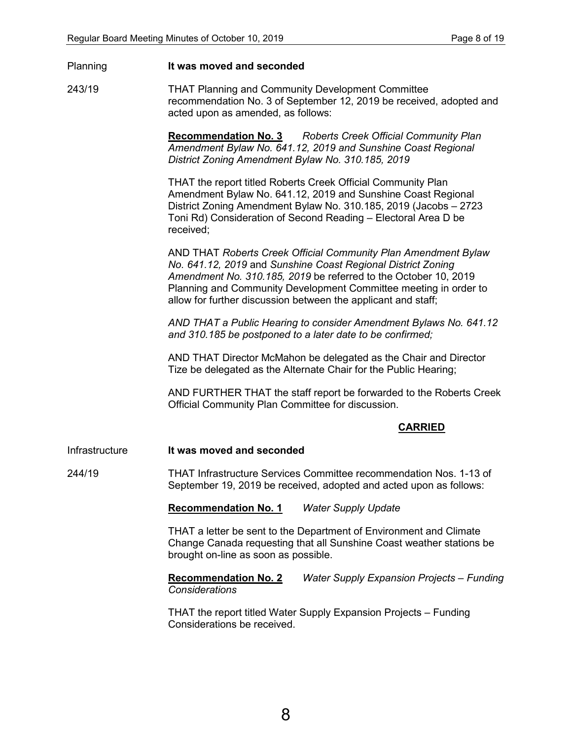#### Planning **It was moved and seconded**

243/19 THAT Planning and Community Development Committee recommendation No. 3 of September 12, 2019 be received, adopted and acted upon as amended, as follows:

> **Recommendation No. 3** *Roberts Creek Official Community Plan Amendment Bylaw No. 641.12, 2019 and Sunshine Coast Regional District Zoning Amendment Bylaw No. 310.185, 2019*

> THAT the report titled Roberts Creek Official Community Plan Amendment Bylaw No. 641.12, 2019 and Sunshine Coast Regional District Zoning Amendment Bylaw No. 310.185, 2019 (Jacobs – 2723 Toni Rd) Consideration of Second Reading – Electoral Area D be received;

AND THAT *Roberts Creek Official Community Plan Amendment Bylaw No. 641.12, 2019* and *Sunshine Coast Regional District Zoning Amendment No. 310.185, 2019* be referred to the October 10, 2019 Planning and Community Development Committee meeting in order to allow for further discussion between the applicant and staff;

*AND THAT a Public Hearing to consider Amendment Bylaws No. 641.12 and 310.185 be postponed to a later date to be confirmed;*

AND THAT Director McMahon be delegated as the Chair and Director Tize be delegated as the Alternate Chair for the Public Hearing;

AND FURTHER THAT the staff report be forwarded to the Roberts Creek Official Community Plan Committee for discussion.

#### **CARRIED**

Infrastructure **It was moved and seconded**

244/19 THAT Infrastructure Services Committee recommendation Nos. 1-13 of September 19, 2019 be received, adopted and acted upon as follows:

**Recommendation No. 1** *Water Supply Update* 

THAT a letter be sent to the Department of Environment and Climate Change Canada requesting that all Sunshine Coast weather stations be brought on-line as soon as possible.

**Recommendation No. 2** *Water Supply Expansion Projects – Funding Considerations* 

THAT the report titled Water Supply Expansion Projects – Funding Considerations be received.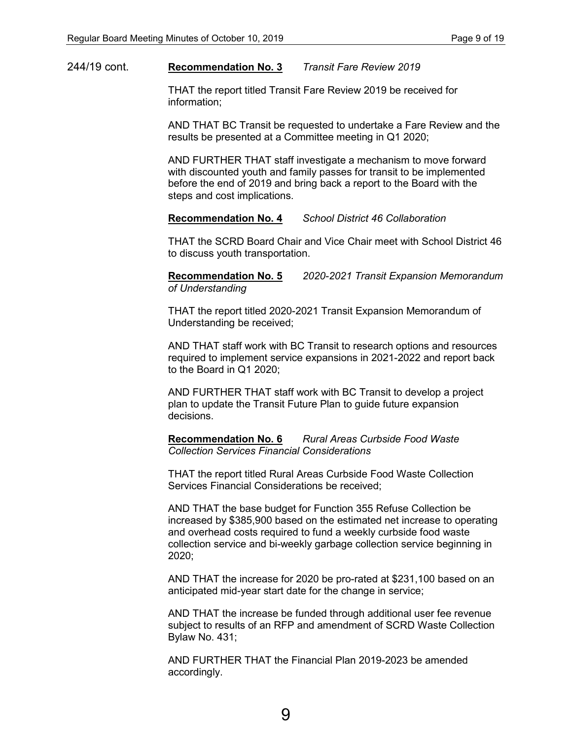#### 244/19 cont. **Recommendation No. 3** *Transit Fare Review 2019*

THAT the report titled Transit Fare Review 2019 be received for information;

AND THAT BC Transit be requested to undertake a Fare Review and the results be presented at a Committee meeting in Q1 2020;

AND FURTHER THAT staff investigate a mechanism to move forward with discounted youth and family passes for transit to be implemented before the end of 2019 and bring back a report to the Board with the steps and cost implications.

#### **Recommendation No. 4** *School District 46 Collaboration*

THAT the SCRD Board Chair and Vice Chair meet with School District 46 to discuss youth transportation.

**Recommendation No. 5** *2020-2021 Transit Expansion Memorandum of Understanding* 

THAT the report titled 2020-2021 Transit Expansion Memorandum of Understanding be received;

AND THAT staff work with BC Transit to research options and resources required to implement service expansions in 2021-2022 and report back to the Board in Q1 2020;

AND FURTHER THAT staff work with BC Transit to develop a project plan to update the Transit Future Plan to guide future expansion decisions.

**Recommendation No. 6** *Rural Areas Curbside Food Waste Collection Services Financial Considerations*

THAT the report titled Rural Areas Curbside Food Waste Collection Services Financial Considerations be received;

AND THAT the base budget for Function 355 Refuse Collection be increased by \$385,900 based on the estimated net increase to operating and overhead costs required to fund a weekly curbside food waste collection service and bi-weekly garbage collection service beginning in 2020;

AND THAT the increase for 2020 be pro-rated at \$231,100 based on an anticipated mid-year start date for the change in service;

AND THAT the increase be funded through additional user fee revenue subject to results of an RFP and amendment of SCRD Waste Collection Bylaw No. 431;

AND FURTHER THAT the Financial Plan 2019-2023 be amended accordingly.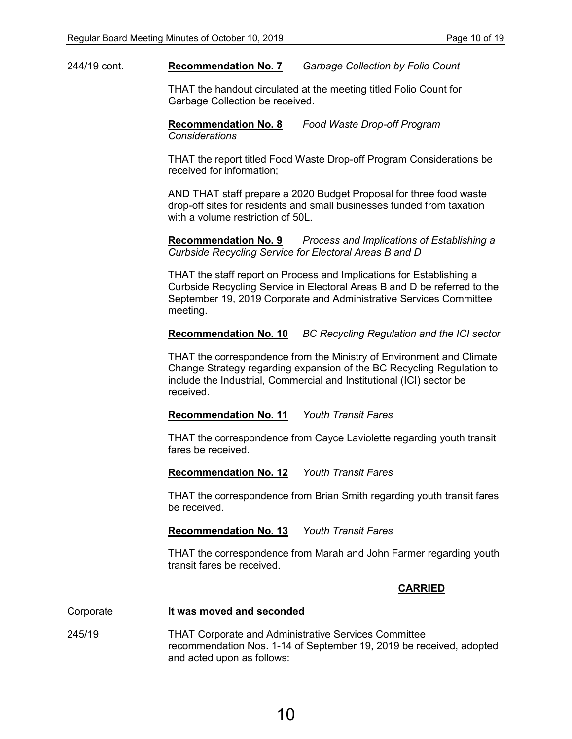#### 244/19 cont. **Recommendation No. 7** *Garbage Collection by Folio Count*

THAT the handout circulated at the meeting titled Folio Count for Garbage Collection be received.

**Recommendation No. 8** *Food Waste Drop-off Program Considerations*

THAT the report titled Food Waste Drop-off Program Considerations be received for information;

AND THAT staff prepare a 2020 Budget Proposal for three food waste drop-off sites for residents and small businesses funded from taxation with a volume restriction of 50L.

**Recommendation No. 9** *Process and Implications of Establishing a Curbside Recycling Service for Electoral Areas B and D* 

THAT the staff report on Process and Implications for Establishing a Curbside Recycling Service in Electoral Areas B and D be referred to the September 19, 2019 Corporate and Administrative Services Committee meeting.

**Recommendation No. 10** *BC Recycling Regulation and the ICI sector* 

THAT the correspondence from the Ministry of Environment and Climate Change Strategy regarding expansion of the BC Recycling Regulation to include the Industrial, Commercial and Institutional (ICI) sector be received.

#### **Recommendation No. 11** *Youth Transit Fares*

THAT the correspondence from Cayce Laviolette regarding youth transit fares be received.

**Recommendation No. 12** *Youth Transit Fares* 

THAT the correspondence from Brian Smith regarding youth transit fares be received.

**Recommendation No. 13** *Youth Transit Fares* 

THAT the correspondence from Marah and John Farmer regarding youth transit fares be received.

#### **CARRIED**

#### Corporate **It was moved and seconded**

245/19 THAT Corporate and Administrative Services Committee recommendation Nos. 1-14 of September 19, 2019 be received, adopted and acted upon as follows: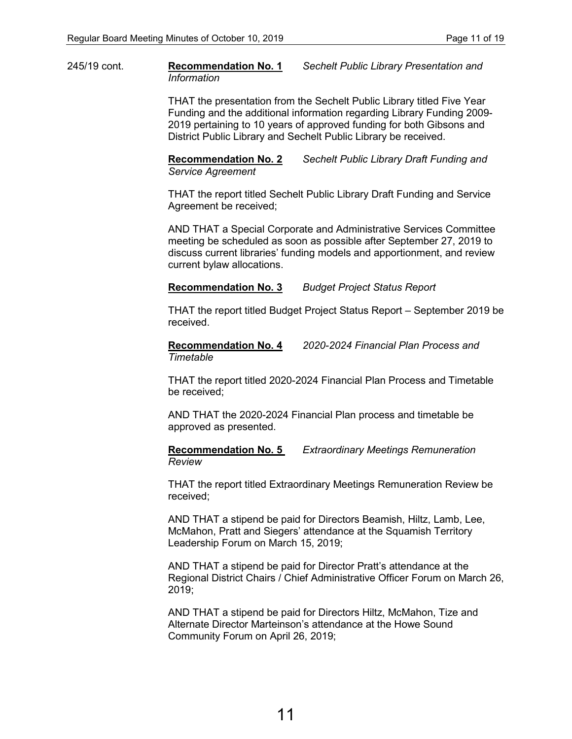245/19 cont. **Recommendation No. 1** *Sechelt Public Library Presentation and Information*

> THAT the presentation from the Sechelt Public Library titled Five Year Funding and the additional information regarding Library Funding 2009- 2019 pertaining to 10 years of approved funding for both Gibsons and District Public Library and Sechelt Public Library be received.

**Recommendation No. 2** *Sechelt Public Library Draft Funding and Service Agreement* 

THAT the report titled Sechelt Public Library Draft Funding and Service Agreement be received;

AND THAT a Special Corporate and Administrative Services Committee meeting be scheduled as soon as possible after September 27, 2019 to discuss current libraries' funding models and apportionment, and review current bylaw allocations.

#### **Recommendation No. 3** *Budget Project Status Report*

THAT the report titled Budget Project Status Report – September 2019 be received.

**Recommendation No. 4** *2020-2024 Financial Plan Process and Timetable* 

THAT the report titled 2020-2024 Financial Plan Process and Timetable be received;

AND THAT the 2020-2024 Financial Plan process and timetable be approved as presented.

**Recommendation No. 5** *Extraordinary Meetings Remuneration Review* 

THAT the report titled Extraordinary Meetings Remuneration Review be received;

AND THAT a stipend be paid for Directors Beamish, Hiltz, Lamb, Lee, McMahon, Pratt and Siegers' attendance at the Squamish Territory Leadership Forum on March 15, 2019;

AND THAT a stipend be paid for Director Pratt's attendance at the Regional District Chairs / Chief Administrative Officer Forum on March 26, 2019;

AND THAT a stipend be paid for Directors Hiltz, McMahon, Tize and Alternate Director Marteinson's attendance at the Howe Sound Community Forum on April 26, 2019;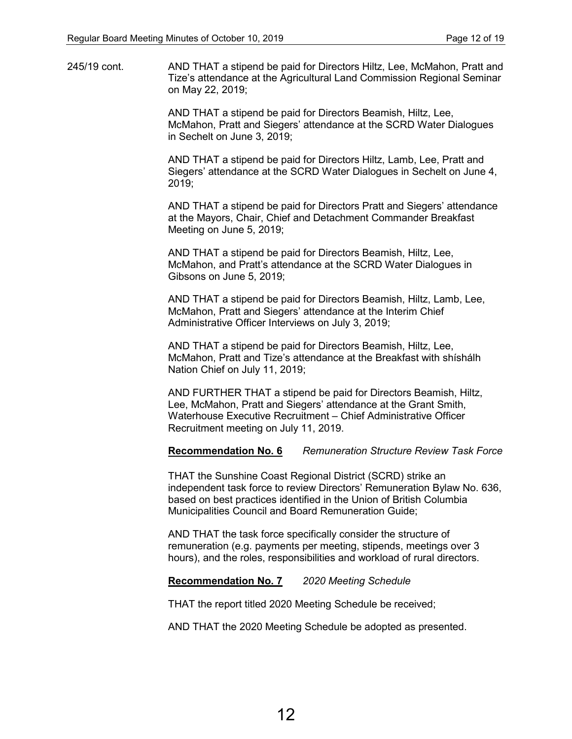245/19 cont. AND THAT a stipend be paid for Directors Hiltz, Lee, McMahon, Pratt and Tize's attendance at the Agricultural Land Commission Regional Seminar on May 22, 2019;

> AND THAT a stipend be paid for Directors Beamish, Hiltz, Lee, McMahon, Pratt and Siegers' attendance at the SCRD Water Dialogues in Sechelt on June 3, 2019;

AND THAT a stipend be paid for Directors Hiltz, Lamb, Lee, Pratt and Siegers' attendance at the SCRD Water Dialogues in Sechelt on June 4, 2019;

AND THAT a stipend be paid for Directors Pratt and Siegers' attendance at the Mayors, Chair, Chief and Detachment Commander Breakfast Meeting on June 5, 2019;

AND THAT a stipend be paid for Directors Beamish, Hiltz, Lee, McMahon, and Pratt's attendance at the SCRD Water Dialogues in Gibsons on June 5, 2019;

AND THAT a stipend be paid for Directors Beamish, Hiltz, Lamb, Lee, McMahon, Pratt and Siegers' attendance at the Interim Chief Administrative Officer Interviews on July 3, 2019;

AND THAT a stipend be paid for Directors Beamish, Hiltz, Lee, McMahon, Pratt and Tize's attendance at the Breakfast with shíshálh Nation Chief on July 11, 2019;

AND FURTHER THAT a stipend be paid for Directors Beamish, Hiltz, Lee, McMahon, Pratt and Siegers' attendance at the Grant Smith, Waterhouse Executive Recruitment – Chief Administrative Officer Recruitment meeting on July 11, 2019.

**Recommendation No. 6** *Remuneration Structure Review Task Force*

THAT the Sunshine Coast Regional District (SCRD) strike an independent task force to review Directors' Remuneration Bylaw No. 636, based on best practices identified in the Union of British Columbia Municipalities Council and Board Remuneration Guide;

AND THAT the task force specifically consider the structure of remuneration (e.g. payments per meeting, stipends, meetings over 3 hours), and the roles, responsibilities and workload of rural directors.

#### **Recommendation No. 7** *2020 Meeting Schedule*

THAT the report titled 2020 Meeting Schedule be received;

AND THAT the 2020 Meeting Schedule be adopted as presented.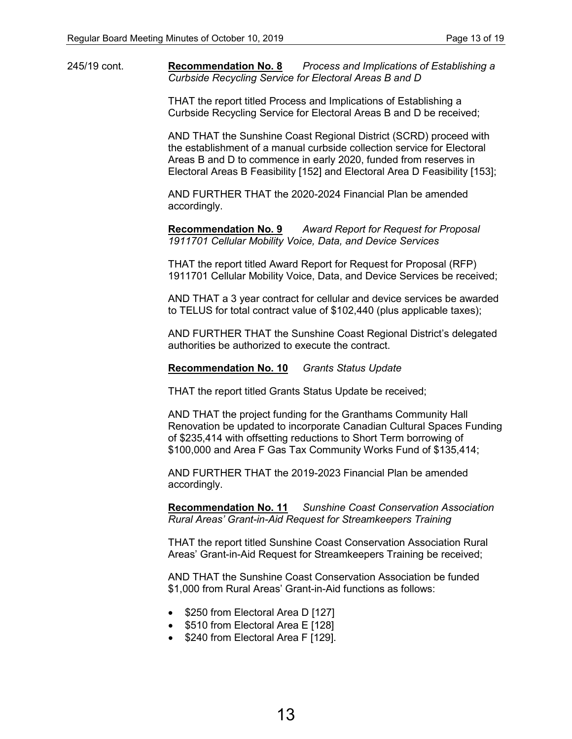245/19 cont. **Recommendation No. 8** *Process and Implications of Establishing a Curbside Recycling Service for Electoral Areas B and D*

> THAT the report titled Process and Implications of Establishing a Curbside Recycling Service for Electoral Areas B and D be received;

AND THAT the Sunshine Coast Regional District (SCRD) proceed with the establishment of a manual curbside collection service for Electoral Areas B and D to commence in early 2020, funded from reserves in Electoral Areas B Feasibility [152] and Electoral Area D Feasibility [153];

AND FURTHER THAT the 2020-2024 Financial Plan be amended accordingly.

**Recommendation No. 9** *Award Report for Request for Proposal 1911701 Cellular Mobility Voice, Data, and Device Services*

THAT the report titled Award Report for Request for Proposal (RFP) 1911701 Cellular Mobility Voice, Data, and Device Services be received;

AND THAT a 3 year contract for cellular and device services be awarded to TELUS for total contract value of \$102,440 (plus applicable taxes);

AND FURTHER THAT the Sunshine Coast Regional District's delegated authorities be authorized to execute the contract.

**Recommendation No. 10** *Grants Status Update*

THAT the report titled Grants Status Update be received;

AND THAT the project funding for the Granthams Community Hall Renovation be updated to incorporate Canadian Cultural Spaces Funding of \$235,414 with offsetting reductions to Short Term borrowing of \$100,000 and Area F Gas Tax Community Works Fund of \$135,414;

AND FURTHER THAT the 2019-2023 Financial Plan be amended accordingly.

**Recommendation No. 11** *Sunshine Coast Conservation Association Rural Areas' Grant-in-Aid Request for Streamkeepers Training*

THAT the report titled Sunshine Coast Conservation Association Rural Areas' Grant-in-Aid Request for Streamkeepers Training be received;

AND THAT the Sunshine Coast Conservation Association be funded \$1,000 from Rural Areas' Grant-in-Aid functions as follows:

- \$250 from Electoral Area D [127]
- \$510 from Electoral Area E [128]
- \$240 from Electoral Area F [129].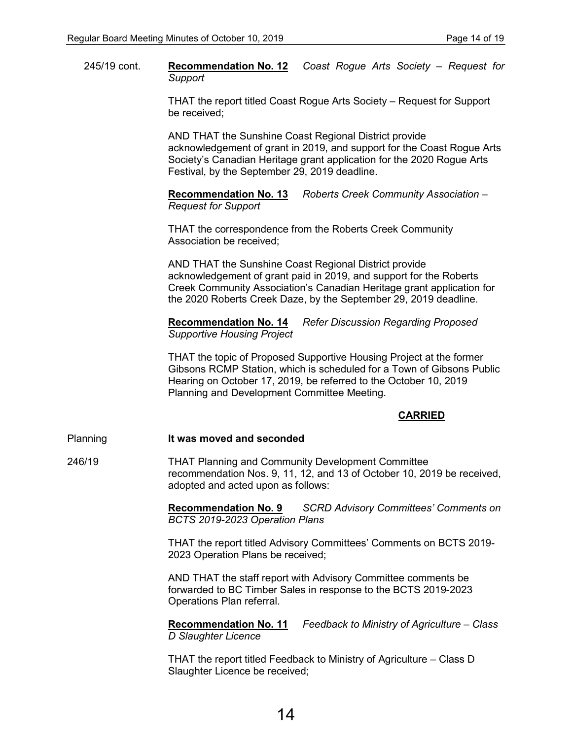245/19 cont. **Recommendation No. 12** *Coast Rogue Arts Society – Request for Support*

> THAT the report titled Coast Rogue Arts Society – Request for Support be received;

AND THAT the Sunshine Coast Regional District provide acknowledgement of grant in 2019, and support for the Coast Rogue Arts Society's Canadian Heritage grant application for the 2020 Rogue Arts Festival, by the September 29, 2019 deadline.

**Recommendation No. 13** *Roberts Creek Community Association – Request for Support*

THAT the correspondence from the Roberts Creek Community Association be received;

AND THAT the Sunshine Coast Regional District provide acknowledgement of grant paid in 2019, and support for the Roberts Creek Community Association's Canadian Heritage grant application for the 2020 Roberts Creek Daze, by the September 29, 2019 deadline.

**Recommendation No. 14** *Refer Discussion Regarding Proposed Supportive Housing Project*

THAT the topic of Proposed Supportive Housing Project at the former Gibsons RCMP Station, which is scheduled for a Town of Gibsons Public Hearing on October 17, 2019, be referred to the October 10, 2019 Planning and Development Committee Meeting.

#### **CARRIED**

#### Planning **It was moved and seconded**

246/19 THAT Planning and Community Development Committee recommendation Nos. 9, 11, 12, and 13 of October 10, 2019 be received, adopted and acted upon as follows:

> **Recommendation No. 9** *SCRD Advisory Committees' Comments on BCTS 2019-2023 Operation Plans*

THAT the report titled Advisory Committees' Comments on BCTS 2019- 2023 Operation Plans be received;

AND THAT the staff report with Advisory Committee comments be forwarded to BC Timber Sales in response to the BCTS 2019-2023 Operations Plan referral.

**Recommendation No. 11** *Feedback to Ministry of Agriculture – Class D Slaughter Licence*

THAT the report titled Feedback to Ministry of Agriculture – Class D Slaughter Licence be received;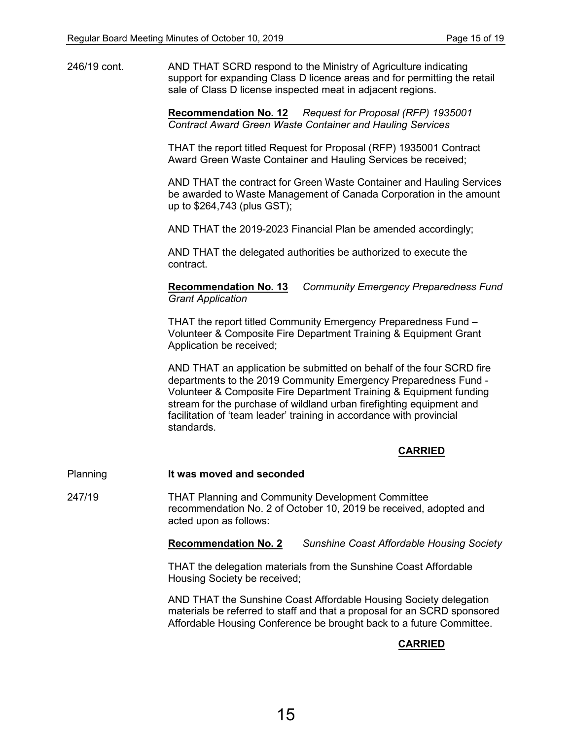246/19 cont. AND THAT SCRD respond to the Ministry of Agriculture indicating support for expanding Class D licence areas and for permitting the retail sale of Class D license inspected meat in adjacent regions.

> **Recommendation No. 12** *Request for Proposal (RFP) 1935001 Contract Award Green Waste Container and Hauling Services*

THAT the report titled Request for Proposal (RFP) 1935001 Contract Award Green Waste Container and Hauling Services be received;

AND THAT the contract for Green Waste Container and Hauling Services be awarded to Waste Management of Canada Corporation in the amount up to \$264,743 (plus GST);

AND THAT the 2019-2023 Financial Plan be amended accordingly;

AND THAT the delegated authorities be authorized to execute the contract.

**Recommendation No. 13** *Community Emergency Preparedness Fund Grant Application*

THAT the report titled Community Emergency Preparedness Fund – Volunteer & Composite Fire Department Training & Equipment Grant Application be received;

AND THAT an application be submitted on behalf of the four SCRD fire departments to the 2019 Community Emergency Preparedness Fund - Volunteer & Composite Fire Department Training & Equipment funding stream for the purchase of wildland urban firefighting equipment and facilitation of 'team leader' training in accordance with provincial standards.

#### **CARRIED**

Planning **It was moved and seconded**

247/19 THAT Planning and Community Development Committee recommendation No. 2 of October 10, 2019 be received, adopted and acted upon as follows:

**Recommendation No. 2** *Sunshine Coast Affordable Housing Society*

THAT the delegation materials from the Sunshine Coast Affordable Housing Society be received;

AND THAT the Sunshine Coast Affordable Housing Society delegation materials be referred to staff and that a proposal for an SCRD sponsored Affordable Housing Conference be brought back to a future Committee.

#### **CARRIED**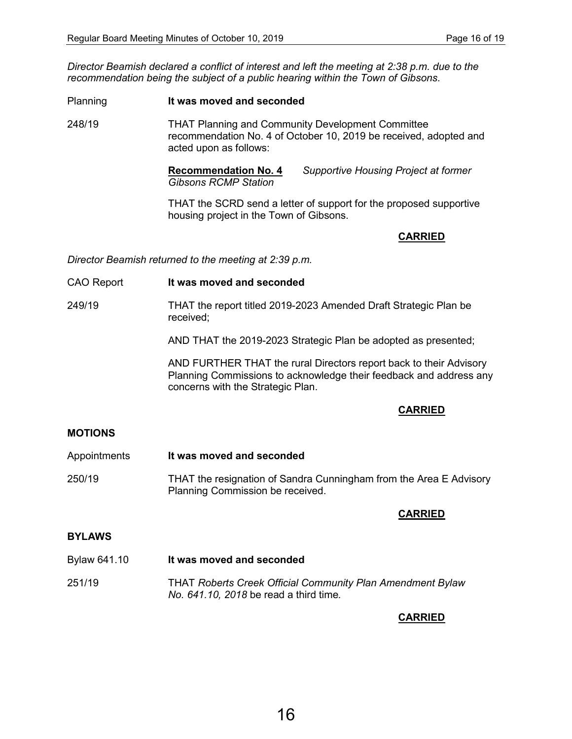*Director Beamish declared a conflict of interest and left the meeting at 2:38 p.m. due to the recommendation being the subject of a public hearing within the Town of Gibsons.* 

Planning **It was moved and seconded** 248/19 THAT Planning and Community Development Committee recommendation No. 4 of October 10, 2019 be received, adopted and acted upon as follows:

> **Recommendation No. 4** *Supportive Housing Project at former Gibsons RCMP Station*

THAT the SCRD send a letter of support for the proposed supportive housing project in the Town of Gibsons.

#### **CARRIED**

*Director Beamish returned to the meeting at 2:39 p.m.*

CAO Report **It was moved and seconded**

249/19 THAT the report titled 2019-2023 Amended Draft Strategic Plan be received;

AND THAT the 2019-2023 Strategic Plan be adopted as presented;

AND FURTHER THAT the rural Directors report back to their Advisory Planning Commissions to acknowledge their feedback and address any concerns with the Strategic Plan.

#### **CARRIED**

#### **MOTIONS**

Appointments **It was moved and seconded** 250/19 THAT the resignation of Sandra Cunningham from the Area E Advisory Planning Commission be received.

#### **CARRIED**

#### **BYLAWS**

Bylaw 641.10 **It was moved and seconded** 251/19 THAT *Roberts Creek Official Community Plan Amendment Bylaw No. 641.10, 2018* be read a third time*.*

#### **CARRIED**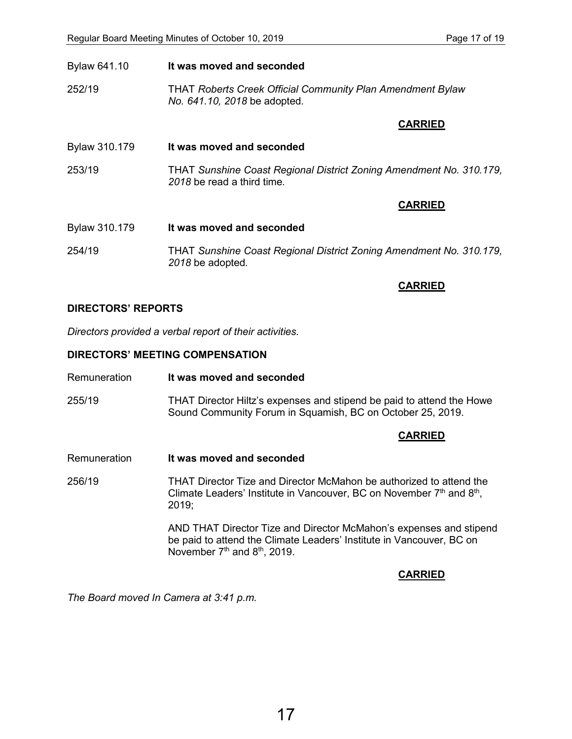| Bylaw 641.10  | It was moved and seconded                                                                         |  |
|---------------|---------------------------------------------------------------------------------------------------|--|
| 252/19        | <b>THAT Roberts Creek Official Community Plan Amendment Bylaw</b><br>No. 641.10, 2018 be adopted. |  |
|               | <b>CARRIED</b>                                                                                    |  |
| Bylaw 310.179 | It was moved and seconded                                                                         |  |
| 253/19        | THAT Sunshine Coast Regional District Zoning Amendment No. 310.179,<br>2018 be read a third time. |  |
|               | <b>CARRIED</b>                                                                                    |  |
| Bylaw 310.179 | It was moved and seconded                                                                         |  |
| 254/19        | THAT Sunshine Coast Regional District Zoning Amendment No. 310.179,<br>2018 be adopted.           |  |

#### **DIRECTORS' REPORTS**

*Directors provided a verbal report of their activities.*

#### **DIRECTORS' MEETING COMPENSATION**

- Remuneration **It was moved and seconded**
- 255/19 THAT Director Hiltz's expenses and stipend be paid to attend the Howe Sound Community Forum in Squamish, BC on October 25, 2019.

#### **CARRIED**

**CARRIED**

Remuneration **It was moved and seconded**

256/19 THAT Director Tize and Director McMahon be authorized to attend the Climate Leaders' Institute in Vancouver, BC on November 7<sup>th</sup> and 8<sup>th</sup>, 2019;

> AND THAT Director Tize and Director McMahon's expenses and stipend be paid to attend the Climate Leaders' Institute in Vancouver, BC on November 7<sup>th</sup> and 8<sup>th</sup>, 2019.

#### **CARRIED**

*The Board moved In Camera at 3:41 p.m.*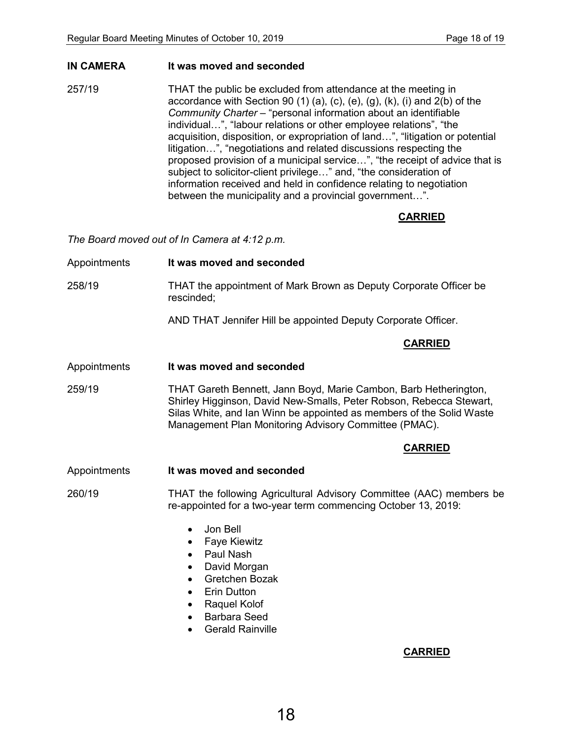#### **IN CAMERA It was moved and seconded**

257/19 THAT the public be excluded from attendance at the meeting in accordance with Section 90  $(1)$   $(a)$ ,  $(c)$ ,  $(e)$ ,  $(g)$ ,  $(k)$ ,  $(i)$  and  $2(b)$  of the *Community Charter* – "personal information about an identifiable individual…", "labour relations or other employee relations", "the acquisition, disposition, or expropriation of land…", "litigation or potential litigation…", "negotiations and related discussions respecting the proposed provision of a municipal service…", "the receipt of advice that is subject to solicitor-client privilege…" and, "the consideration of information received and held in confidence relating to negotiation between the municipality and a provincial government…".

#### **CARRIED**

*The Board moved out of In Camera at 4:12 p.m.*

Appointments **It was moved and seconded** 258/19 THAT the appointment of Mark Brown as Deputy Corporate Officer be rescinded;

AND THAT Jennifer Hill be appointed Deputy Corporate Officer.

#### **CARRIED**

Appointments **It was moved and seconded**

259/19 THAT Gareth Bennett, Jann Boyd, Marie Cambon, Barb Hetherington, Shirley Higginson, David New-Smalls, Peter Robson, Rebecca Stewart, Silas White, and Ian Winn be appointed as members of the Solid Waste Management Plan Monitoring Advisory Committee (PMAC).

#### **CARRIED**

Appointments **It was moved and seconded**

260/19 THAT the following Agricultural Advisory Committee (AAC) members be re-appointed for a two-year term commencing October 13, 2019:

- Jon Bell
- Faye Kiewitz
- Paul Nash
- David Morgan
- Gretchen Bozak
- **Erin Dutton**
- Raquel Kolof
- Barbara Seed
- Gerald Rainville

#### **CARRIED**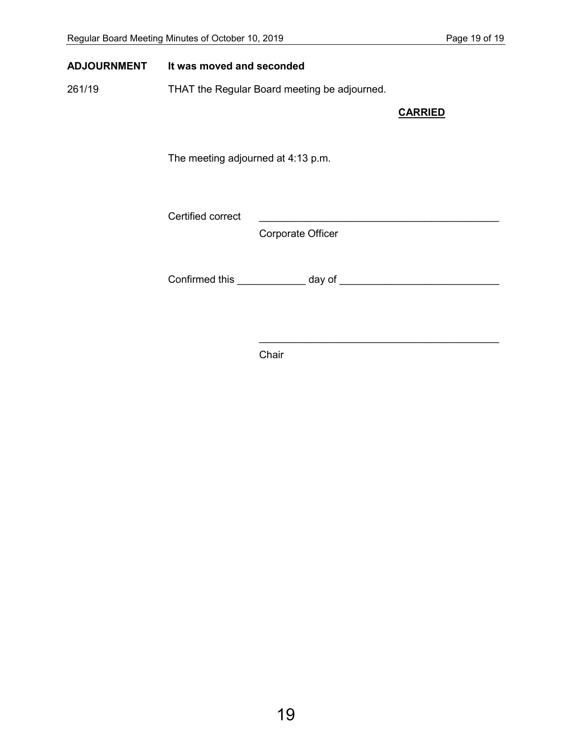#### **ADJOURNMENT It was moved and seconded**

261/19 THAT the Regular Board meeting be adjourned.

**CARRIED**

 $\mathcal{L}_\text{max}$  , and the set of the set of the set of the set of the set of the set of the set of the set of the set of the set of the set of the set of the set of the set of the set of the set of the set of the set of the

The meeting adjourned at 4:13 p.m.

Certified correct

Corporate Officer

Confirmed this \_\_\_\_\_\_\_\_\_\_\_\_ day of \_\_\_\_\_\_\_\_\_\_\_\_\_\_\_\_\_\_\_\_\_\_\_\_\_\_\_\_

Chair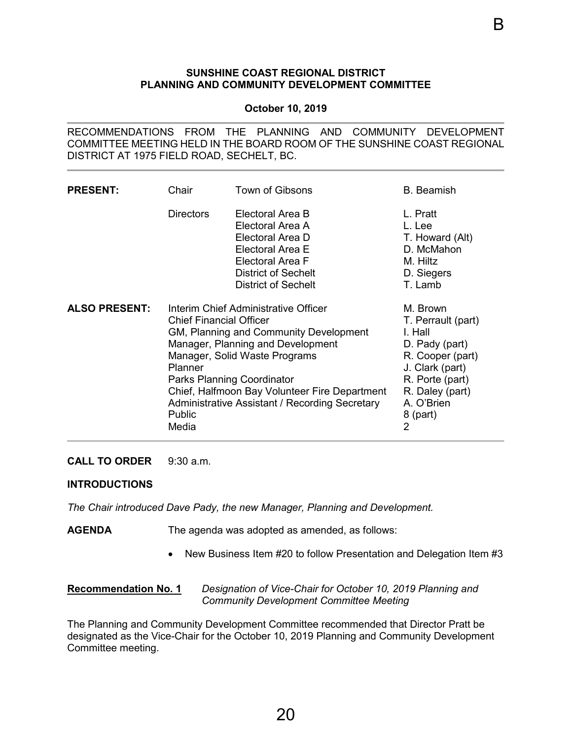#### **SUNSHINE COAST REGIONAL DISTRICT PLANNING AND COMMUNITY DEVELOPMENT COMMITTEE**

#### **October 10, 2019**

<span id="page-22-0"></span>RECOMMENDATIONS FROM THE PLANNING AND COMMUNITY DEVELOPMENT COMMITTEE MEETING HELD IN THE BOARD ROOM OF THE SUNSHINE COAST REGIONAL DISTRICT AT 1975 FIELD ROAD, SECHELT, BC.

| <b>PRESENT:</b>      | Chair                                                                                                                                                                                                                                                                                                                                                        | Town of Gibsons                                                                                                                                              | <b>B.</b> Beamish                                                                                                                                                                    |
|----------------------|--------------------------------------------------------------------------------------------------------------------------------------------------------------------------------------------------------------------------------------------------------------------------------------------------------------------------------------------------------------|--------------------------------------------------------------------------------------------------------------------------------------------------------------|--------------------------------------------------------------------------------------------------------------------------------------------------------------------------------------|
|                      | <b>Directors</b>                                                                                                                                                                                                                                                                                                                                             | Electoral Area B<br>Electoral Area A<br>Electoral Area D<br>Electoral Area E<br>Electoral Area F<br><b>District of Sechelt</b><br><b>District of Sechelt</b> | L. Pratt<br>L. Lee<br>T. Howard (Alt)<br>D. McMahon<br>M. Hiltz<br>D. Siegers<br>T. Lamb                                                                                             |
| <b>ALSO PRESENT:</b> | Interim Chief Administrative Officer<br><b>Chief Financial Officer</b><br>GM, Planning and Community Development<br>Manager, Planning and Development<br>Manager, Solid Waste Programs<br>Planner<br><b>Parks Planning Coordinator</b><br>Chief, Halfmoon Bay Volunteer Fire Department<br>Administrative Assistant / Recording Secretary<br>Public<br>Media |                                                                                                                                                              | M. Brown<br>T. Perrault (part)<br>I. Hall<br>D. Pady (part)<br>R. Cooper (part)<br>J. Clark (part)<br>R. Porte (part)<br>R. Daley (part)<br>A. O'Brien<br>8 (part)<br>$\overline{2}$ |

#### **CALL TO ORDER** 9:30 a.m.

#### **INTRODUCTIONS**

*The Chair introduced Dave Pady, the new Manager, Planning and Development.* 

- **AGENDA** The agenda was adopted as amended, as follows:
	- New Business Item #20 to follow Presentation and Delegation Item #3

#### **Recommendation No. 1** *Designation of Vice-Chair for October 10, 2019 Planning and Community Development Committee Meeting*

The Planning and Community Development Committee recommended that Director Pratt be designated as the Vice-Chair for the October 10, 2019 Planning and Community Development Committee meeting.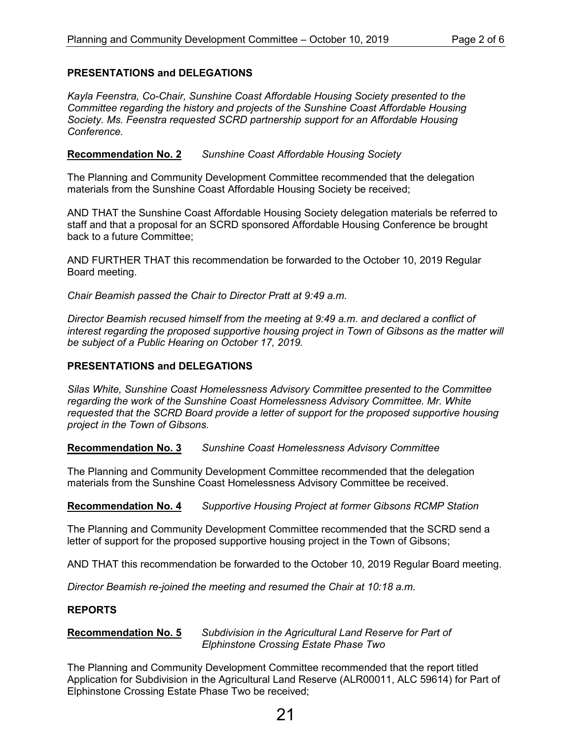#### **PRESENTATIONS and DELEGATIONS**

*Kayla Feenstra, Co-Chair, Sunshine Coast Affordable Housing Society presented to the Committee regarding the history and projects of the Sunshine Coast Affordable Housing Society. Ms. Feenstra requested SCRD partnership support for an Affordable Housing Conference.*

#### **Recommendation No. 2** *Sunshine Coast Affordable Housing Society*

The Planning and Community Development Committee recommended that the delegation materials from the Sunshine Coast Affordable Housing Society be received;

AND THAT the Sunshine Coast Affordable Housing Society delegation materials be referred to staff and that a proposal for an SCRD sponsored Affordable Housing Conference be brought back to a future Committee;

AND FURTHER THAT this recommendation be forwarded to the October 10, 2019 Regular Board meeting.

*Chair Beamish passed the Chair to Director Pratt at 9:49 a.m.*

*Director Beamish recused himself from the meeting at 9:49 a.m. and declared a conflict of interest regarding the proposed supportive housing project in Town of Gibsons as the matter will be subject of a Public Hearing on October 17, 2019.* 

#### **PRESENTATIONS and DELEGATIONS**

*Silas White, Sunshine Coast Homelessness Advisory Committee presented to the Committee regarding the work of the Sunshine Coast Homelessness Advisory Committee. Mr. White requested that the SCRD Board provide a letter of support for the proposed supportive housing project in the Town of Gibsons.* 

**Recommendation No. 3** *Sunshine Coast Homelessness Advisory Committee*

The Planning and Community Development Committee recommended that the delegation materials from the Sunshine Coast Homelessness Advisory Committee be received.

**Recommendation No. 4** *Supportive Housing Project at former Gibsons RCMP Station*

The Planning and Community Development Committee recommended that the SCRD send a letter of support for the proposed supportive housing project in the Town of Gibsons;

AND THAT this recommendation be forwarded to the October 10, 2019 Regular Board meeting.

*Director Beamish re-joined the meeting and resumed the Chair at 10:18 a.m.*

#### **REPORTS**

#### **Recommendation No. 5** *Subdivision in the Agricultural Land Reserve for Part of Elphinstone Crossing Estate Phase Two*

The Planning and Community Development Committee recommended that the report titled Application for Subdivision in the Agricultural Land Reserve (ALR00011, ALC 59614) for Part of Elphinstone Crossing Estate Phase Two be received;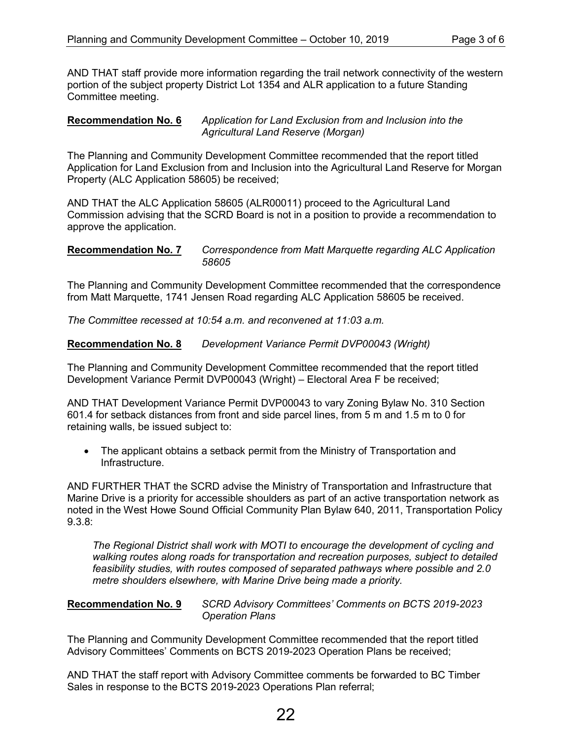AND THAT staff provide more information regarding the trail network connectivity of the western portion of the subject property District Lot 1354 and ALR application to a future Standing Committee meeting.

#### **Recommendation No. 6** *Application for Land Exclusion from and Inclusion into the Agricultural Land Reserve (Morgan)*

The Planning and Community Development Committee recommended that the report titled Application for Land Exclusion from and Inclusion into the Agricultural Land Reserve for Morgan Property (ALC Application 58605) be received;

AND THAT the ALC Application 58605 (ALR00011) proceed to the Agricultural Land Commission advising that the SCRD Board is not in a position to provide a recommendation to approve the application.

#### **Recommendation No. 7** *Correspondence from Matt Marquette regarding ALC Application 58605*

The Planning and Community Development Committee recommended that the correspondence from Matt Marquette, 1741 Jensen Road regarding ALC Application 58605 be received.

*The Committee recessed at 10:54 a.m. and reconvened at 11:03 a.m.*

**Recommendation No. 8** *Development Variance Permit DVP00043 (Wright)*

The Planning and Community Development Committee recommended that the report titled Development Variance Permit DVP00043 (Wright) – Electoral Area F be received;

AND THAT Development Variance Permit DVP00043 to vary Zoning Bylaw No. 310 Section 601.4 for setback distances from front and side parcel lines, from 5 m and 1.5 m to 0 for retaining walls, be issued subject to:

• The applicant obtains a setback permit from the Ministry of Transportation and Infrastructure.

AND FURTHER THAT the SCRD advise the Ministry of Transportation and Infrastructure that Marine Drive is a priority for accessible shoulders as part of an active transportation network as noted in the West Howe Sound Official Community Plan Bylaw 640, 2011, Transportation Policy 9.3.8:

*The Regional District shall work with MOTI to encourage the development of cycling and walking routes along roads for transportation and recreation purposes, subject to detailed feasibility studies, with routes composed of separated pathways where possible and 2.0 metre shoulders elsewhere, with Marine Drive being made a priority.* 

#### **Recommendation No. 9** *SCRD Advisory Committees' Comments on BCTS 2019-2023 Operation Plans*

The Planning and Community Development Committee recommended that the report titled Advisory Committees' Comments on BCTS 2019-2023 Operation Plans be received;

AND THAT the staff report with Advisory Committee comments be forwarded to BC Timber Sales in response to the BCTS 2019-2023 Operations Plan referral;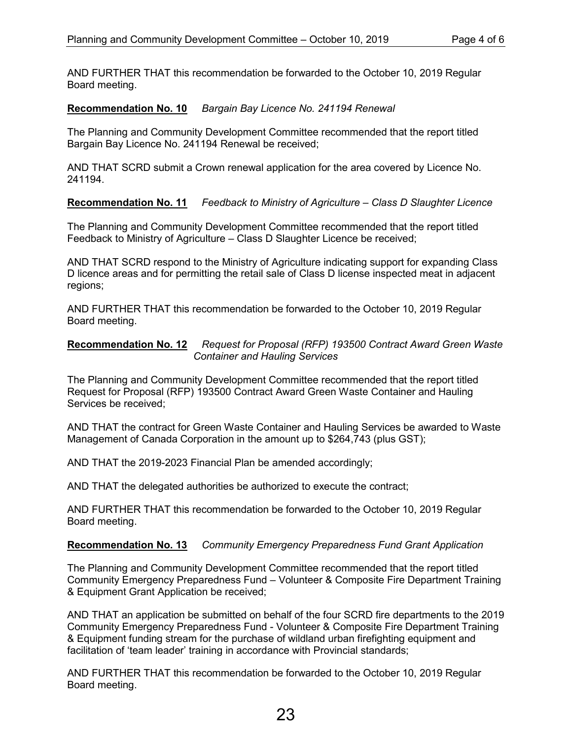AND FURTHER THAT this recommendation be forwarded to the October 10, 2019 Regular Board meeting.

#### **Recommendation No. 10** *Bargain Bay Licence No. 241194 Renewal*

The Planning and Community Development Committee recommended that the report titled Bargain Bay Licence No. 241194 Renewal be received;

AND THAT SCRD submit a Crown renewal application for the area covered by Licence No. 241194.

#### **Recommendation No. 11** *Feedback to Ministry of Agriculture – Class D Slaughter Licence*

The Planning and Community Development Committee recommended that the report titled Feedback to Ministry of Agriculture – Class D Slaughter Licence be received;

AND THAT SCRD respond to the Ministry of Agriculture indicating support for expanding Class D licence areas and for permitting the retail sale of Class D license inspected meat in adjacent regions;

AND FURTHER THAT this recommendation be forwarded to the October 10, 2019 Regular Board meeting.

#### **Recommendation No. 12** *Request for Proposal (RFP) 193500 Contract Award Green Waste Container and Hauling Services*

The Planning and Community Development Committee recommended that the report titled Request for Proposal (RFP) 193500 Contract Award Green Waste Container and Hauling Services be received;

AND THAT the contract for Green Waste Container and Hauling Services be awarded to Waste Management of Canada Corporation in the amount up to \$264,743 (plus GST);

AND THAT the 2019-2023 Financial Plan be amended accordingly;

AND THAT the delegated authorities be authorized to execute the contract;

AND FURTHER THAT this recommendation be forwarded to the October 10, 2019 Regular Board meeting.

#### **Recommendation No. 13** *Community Emergency Preparedness Fund Grant Application*

The Planning and Community Development Committee recommended that the report titled Community Emergency Preparedness Fund – Volunteer & Composite Fire Department Training & Equipment Grant Application be received;

AND THAT an application be submitted on behalf of the four SCRD fire departments to the 2019 Community Emergency Preparedness Fund - Volunteer & Composite Fire Department Training & Equipment funding stream for the purchase of wildland urban firefighting equipment and facilitation of 'team leader' training in accordance with Provincial standards;

AND FURTHER THAT this recommendation be forwarded to the October 10, 2019 Regular Board meeting.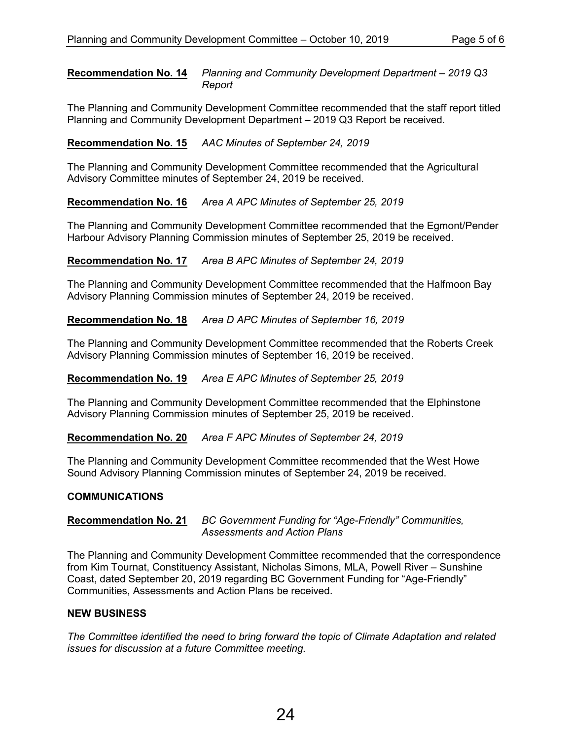#### **Recommendation No. 14** *Planning and Community Development Department – 2019 Q3 Report*

The Planning and Community Development Committee recommended that the staff report titled Planning and Community Development Department – 2019 Q3 Report be received.

### **Recommendation No. 15** *AAC Minutes of September 24, 2019*

The Planning and Community Development Committee recommended that the Agricultural Advisory Committee minutes of September 24, 2019 be received.

#### **Recommendation No. 16** *Area A APC Minutes of September 25, 2019*

The Planning and Community Development Committee recommended that the Egmont/Pender Harbour Advisory Planning Commission minutes of September 25, 2019 be received.

#### **Recommendation No. 17** *Area B APC Minutes of September 24, 2019*

The Planning and Community Development Committee recommended that the Halfmoon Bay Advisory Planning Commission minutes of September 24, 2019 be received.

#### **Recommendation No. 18** *Area D APC Minutes of September 16, 2019*

The Planning and Community Development Committee recommended that the Roberts Creek Advisory Planning Commission minutes of September 16, 2019 be received.

#### **Recommendation No. 19** *Area E APC Minutes of September 25, 2019*

The Planning and Community Development Committee recommended that the Elphinstone Advisory Planning Commission minutes of September 25, 2019 be received.

#### **Recommendation No. 20** *Area F APC Minutes of September 24, 2019*

The Planning and Community Development Committee recommended that the West Howe Sound Advisory Planning Commission minutes of September 24, 2019 be received.

#### **COMMUNICATIONS**

#### **Recommendation No. 21** *BC Government Funding for "Age-Friendly" Communities, Assessments and Action Plans*

The Planning and Community Development Committee recommended that the correspondence from Kim Tournat, Constituency Assistant, Nicholas Simons, MLA, Powell River – Sunshine Coast, dated September 20, 2019 regarding BC Government Funding for "Age-Friendly" Communities, Assessments and Action Plans be received.

#### **NEW BUSINESS**

*The Committee identified the need to bring forward the topic of Climate Adaptation and related issues for discussion at a future Committee meeting.*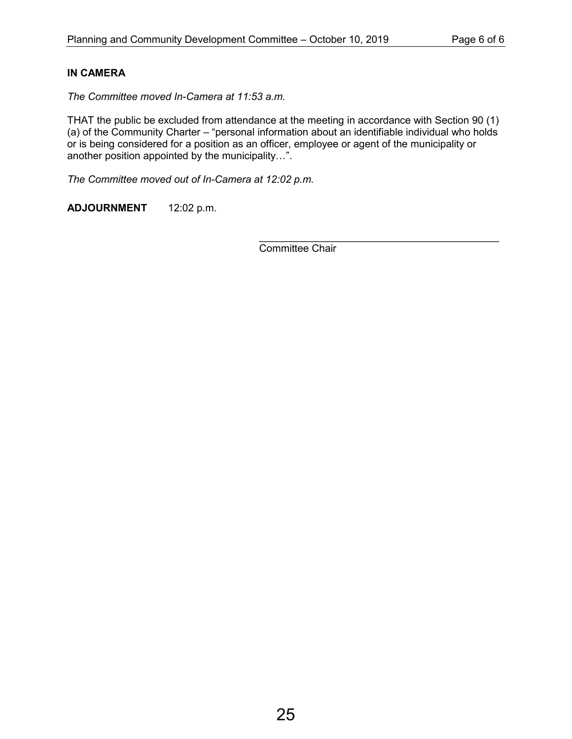### **IN CAMERA**

*The Committee moved In-Camera at 11:53 a.m.*

THAT the public be excluded from attendance at the meeting in accordance with Section 90 (1) (a) of the Community Charter – "personal information about an identifiable individual who holds or is being considered for a position as an officer, employee or agent of the municipality or another position appointed by the municipality…".

*The Committee moved out of In-Camera at 12:02 p.m.*

**ADJOURNMENT** 12:02 p.m.

 $\frac{1}{2}$  ,  $\frac{1}{2}$  ,  $\frac{1}{2}$  ,  $\frac{1}{2}$  ,  $\frac{1}{2}$  ,  $\frac{1}{2}$  ,  $\frac{1}{2}$  ,  $\frac{1}{2}$  ,  $\frac{1}{2}$  ,  $\frac{1}{2}$  ,  $\frac{1}{2}$  ,  $\frac{1}{2}$  ,  $\frac{1}{2}$  ,  $\frac{1}{2}$  ,  $\frac{1}{2}$  ,  $\frac{1}{2}$  ,  $\frac{1}{2}$  ,  $\frac{1}{2}$  ,  $\frac{1$ Committee Chair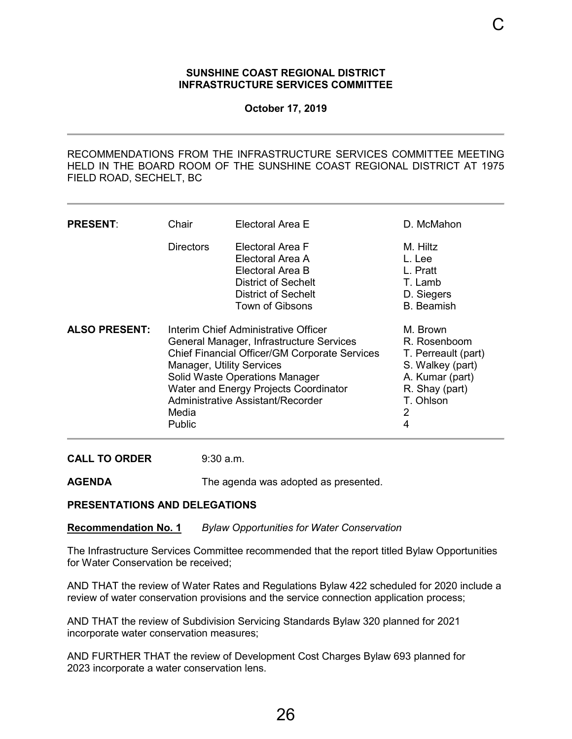#### **SUNSHINE COAST REGIONAL DISTRICT INFRASTRUCTURE SERVICES COMMITTEE**

**October 17, 2019**

<span id="page-28-0"></span>RECOMMENDATIONS FROM THE INFRASTRUCTURE SERVICES COMMITTEE MEETING HELD IN THE BOARD ROOM OF THE SUNSHINE COAST REGIONAL DISTRICT AT 1975 FIELD ROAD, SECHELT, BC

| <b>PRESENT:</b>      | Chair                                                                                                                                                                                                                                                                                                                         | Electoral Area E                                                                                                                        | D. McMahon                                                                                                                      |
|----------------------|-------------------------------------------------------------------------------------------------------------------------------------------------------------------------------------------------------------------------------------------------------------------------------------------------------------------------------|-----------------------------------------------------------------------------------------------------------------------------------------|---------------------------------------------------------------------------------------------------------------------------------|
|                      | <b>Directors</b>                                                                                                                                                                                                                                                                                                              | Electoral Area F<br>Electoral Area A<br>Electoral Area B<br><b>District of Sechelt</b><br><b>District of Sechelt</b><br>Town of Gibsons | M. Hiltz<br>L. Lee<br>L. Pratt<br>T. Lamb<br>D. Siegers<br><b>B.</b> Beamish                                                    |
| <b>ALSO PRESENT:</b> | Interim Chief Administrative Officer<br>General Manager, Infrastructure Services<br><b>Chief Financial Officer/GM Corporate Services</b><br><b>Manager, Utility Services</b><br><b>Solid Waste Operations Manager</b><br><b>Water and Energy Projects Coordinator</b><br>Administrative Assistant/Recorder<br>Media<br>Public |                                                                                                                                         | M. Brown<br>R. Rosenboom<br>T. Perreault (part)<br>S. Walkey (part)<br>A. Kumar (part)<br>R. Shay (part)<br>T. Ohlson<br>2<br>4 |

**CALL TO ORDER** 9:30 a.m.

**AGENDA** The agenda was adopted as presented.

#### **PRESENTATIONS AND DELEGATIONS**

**Recommendation No. 1** *Bylaw Opportunities for Water Conservation*

The Infrastructure Services Committee recommended that the report titled Bylaw Opportunities for Water Conservation be received;

AND THAT the review of Water Rates and Regulations Bylaw 422 scheduled for 2020 include a review of water conservation provisions and the service connection application process;

AND THAT the review of Subdivision Servicing Standards Bylaw 320 planned for 2021 incorporate water conservation measures;

AND FURTHER THAT the review of Development Cost Charges Bylaw 693 planned for 2023 incorporate a water conservation lens.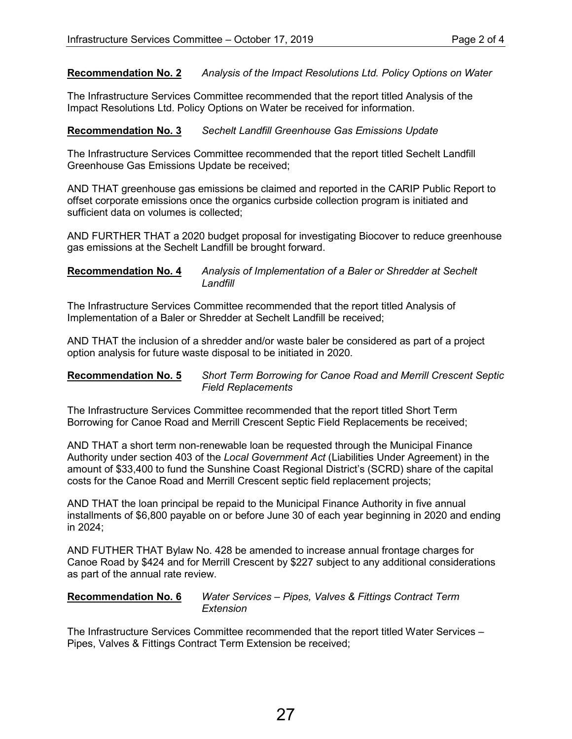**Recommendation No. 2** *Analysis of the Impact Resolutions Ltd. Policy Options on Water*

The Infrastructure Services Committee recommended that the report titled Analysis of the Impact Resolutions Ltd. Policy Options on Water be received for information.

#### **Recommendation No. 3** *Sechelt Landfill Greenhouse Gas Emissions Update*

The Infrastructure Services Committee recommended that the report titled Sechelt Landfill Greenhouse Gas Emissions Update be received;

AND THAT greenhouse gas emissions be claimed and reported in the CARIP Public Report to offset corporate emissions once the organics curbside collection program is initiated and sufficient data on volumes is collected;

AND FURTHER THAT a 2020 budget proposal for investigating Biocover to reduce greenhouse gas emissions at the Sechelt Landfill be brought forward.

#### **Recommendation No. 4** *Analysis of Implementation of a Baler or Shredder at Sechelt Landfill*

The Infrastructure Services Committee recommended that the report titled Analysis of Implementation of a Baler or Shredder at Sechelt Landfill be received;

AND THAT the inclusion of a shredder and/or waste baler be considered as part of a project option analysis for future waste disposal to be initiated in 2020.

#### **Recommendation No. 5** *Short Term Borrowing for Canoe Road and Merrill Crescent Septic Field Replacements*

The Infrastructure Services Committee recommended that the report titled Short Term Borrowing for Canoe Road and Merrill Crescent Septic Field Replacements be received;

AND THAT a short term non-renewable loan be requested through the Municipal Finance Authority under section 403 of the *Local Government Act* (Liabilities Under Agreement) in the amount of \$33,400 to fund the Sunshine Coast Regional District's (SCRD) share of the capital costs for the Canoe Road and Merrill Crescent septic field replacement projects;

AND THAT the loan principal be repaid to the Municipal Finance Authority in five annual installments of \$6,800 payable on or before June 30 of each year beginning in 2020 and ending in 2024;

AND FUTHER THAT Bylaw No. 428 be amended to increase annual frontage charges for Canoe Road by \$424 and for Merrill Crescent by \$227 subject to any additional considerations as part of the annual rate review.

**Recommendation No. 6** *Water Services – Pipes, Valves & Fittings Contract Term Extension*

The Infrastructure Services Committee recommended that the report titled Water Services – Pipes, Valves & Fittings Contract Term Extension be received;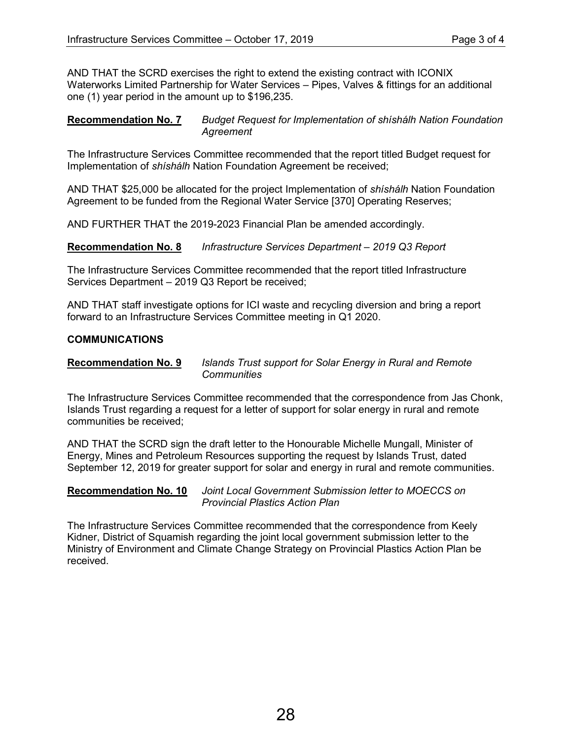AND THAT the SCRD exercises the right to extend the existing contract with ICONIX Waterworks Limited Partnership for Water Services – Pipes, Valves & fittings for an additional one (1) year period in the amount up to \$196,235.

#### **Recommendation No. 7** *Budget Request for Implementation of shíshálh Nation Foundation Agreement*

The Infrastructure Services Committee recommended that the report titled Budget request for Implementation of *shíshálh* Nation Foundation Agreement be received;

AND THAT \$25,000 be allocated for the project Implementation of *shíshálh* Nation Foundation Agreement to be funded from the Regional Water Service [370] Operating Reserves;

AND FURTHER THAT the 2019-2023 Financial Plan be amended accordingly.

**Recommendation No. 8** *Infrastructure Services Department – 2019 Q3 Report*

The Infrastructure Services Committee recommended that the report titled Infrastructure Services Department – 2019 Q3 Report be received;

AND THAT staff investigate options for ICI waste and recycling diversion and bring a report forward to an Infrastructure Services Committee meeting in Q1 2020.

#### **COMMUNICATIONS**

#### **Recommendation No. 9** *Islands Trust support for Solar Energy in Rural and Remote Communities*

The Infrastructure Services Committee recommended that the correspondence from Jas Chonk, Islands Trust regarding a request for a letter of support for solar energy in rural and remote communities be received;

AND THAT the SCRD sign the draft letter to the Honourable Michelle Mungall, Minister of Energy, Mines and Petroleum Resources supporting the request by Islands Trust, dated September 12, 2019 for greater support for solar and energy in rural and remote communities.

#### **Recommendation No. 10** *Joint Local Government Submission letter to MOECCS on Provincial Plastics Action Plan*

The Infrastructure Services Committee recommended that the correspondence from Keely Kidner, District of Squamish regarding the joint local government submission letter to the Ministry of Environment and Climate Change Strategy on Provincial Plastics Action Plan be received.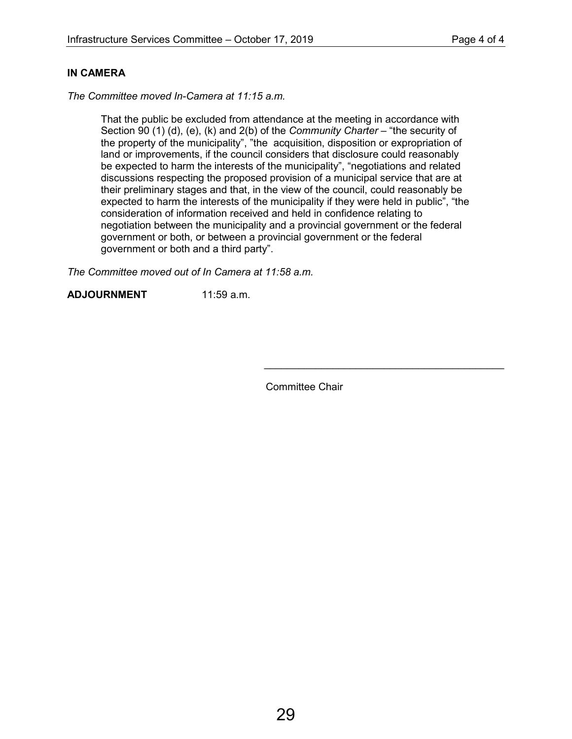#### **IN CAMERA**

*The Committee moved In-Camera at 11:15 a.m.*

That the public be excluded from attendance at the meeting in accordance with Section 90 (1) (d), (e), (k) and 2(b) of the *Community Charter* – "the security of the property of the municipality", "the acquisition, disposition or expropriation of land or improvements, if the council considers that disclosure could reasonably be expected to harm the interests of the municipality", "negotiations and related discussions respecting the proposed provision of a municipal service that are at their preliminary stages and that, in the view of the council, could reasonably be expected to harm the interests of the municipality if they were held in public", "the consideration of information received and held in confidence relating to negotiation between the municipality and a provincial government or the federal government or both, or between a provincial government or the federal government or both and a third party".

*The Committee moved out of In Camera at 11:58 a.m.*

**ADJOURNMENT** 11:59 a.m.

Committee Chair

\_\_\_\_\_\_\_\_\_\_\_\_\_\_\_\_\_\_\_\_\_\_\_\_\_\_\_\_\_\_\_\_\_\_\_\_\_\_\_\_\_\_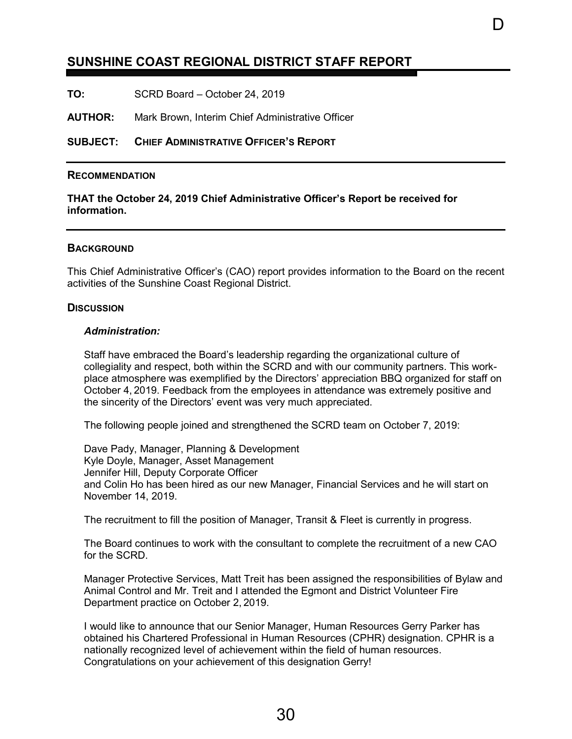## <span id="page-32-0"></span>**SUNSHINE COAST REGIONAL DISTRICT STAFF REPORT**

**TO:** SCRD Board – October 24, 2019

**AUTHOR:** Mark Brown, Interim Chief Administrative Officer

**SUBJECT: CHIEF ADMINISTRATIVE OFFICER'S REPORT**

#### **RECOMMENDATION**

**THAT the October 24, 2019 Chief Administrative Officer's Report be received for information.** 

#### **BACKGROUND**

This Chief Administrative Officer's (CAO) report provides information to the Board on the recent activities of the Sunshine Coast Regional District.

l)

#### **DISCUSSION**

#### *Administration:*

Staff have embraced the Board's leadership regarding the organizational culture of collegiality and respect, both within the SCRD and with our community partners. This workplace atmosphere was exemplified by the Directors' appreciation BBQ organized for staff on October 4, 2019. Feedback from the employees in attendance was extremely positive and the sincerity of the Directors' event was very much appreciated.

The following people joined and strengthened the SCRD team on October 7, 2019:

Dave Pady, Manager, Planning & Development Kyle Doyle, Manager, Asset Management Jennifer Hill, Deputy Corporate Officer and Colin Ho has been hired as our new Manager, Financial Services and he will start on November 14, 2019.

The recruitment to fill the position of Manager, Transit & Fleet is currently in progress.

The Board continues to work with the consultant to complete the recruitment of a new CAO for the SCRD.

Manager Protective Services, Matt Treit has been assigned the responsibilities of Bylaw and Animal Control and Mr. Treit and I attended the Egmont and District Volunteer Fire Department practice on October 2, 2019.

I would like to announce that our Senior Manager, Human Resources Gerry Parker has obtained his Chartered Professional in Human Resources (CPHR) designation. CPHR is a nationally recognized level of achievement within the field of human resources. Congratulations on your achievement of this designation Gerry!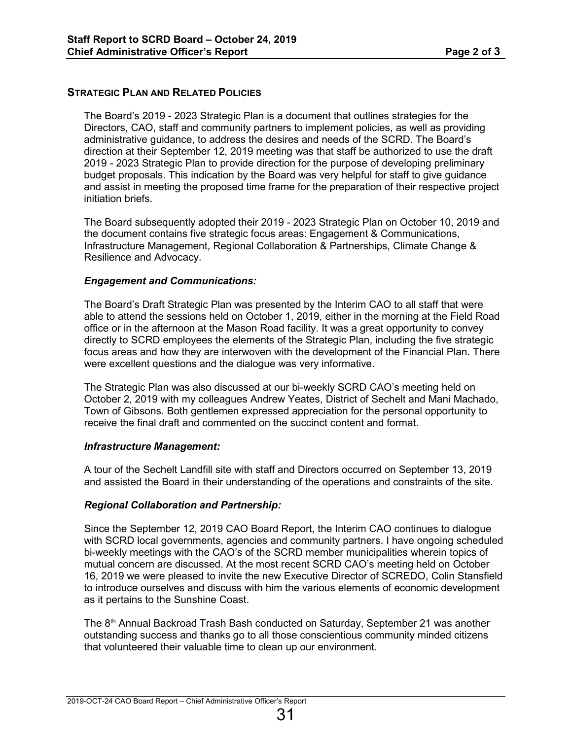#### **STRATEGIC PLAN AND RELATED POLICIES**

The Board's 2019 - 2023 Strategic Plan is a document that outlines strategies for the Directors, CAO, staff and community partners to implement policies, as well as providing administrative guidance, to address the desires and needs of the SCRD. The Board's direction at their September 12, 2019 meeting was that staff be authorized to use the draft 2019 - 2023 Strategic Plan to provide direction for the purpose of developing preliminary budget proposals. This indication by the Board was very helpful for staff to give guidance and assist in meeting the proposed time frame for the preparation of their respective project initiation briefs.

The Board subsequently adopted their 2019 - 2023 Strategic Plan on October 10, 2019 and the document contains five strategic focus areas: Engagement & Communications, Infrastructure Management, Regional Collaboration & Partnerships, Climate Change & Resilience and Advocacy.

#### *Engagement and Communications:*

The Board's Draft Strategic Plan was presented by the Interim CAO to all staff that were able to attend the sessions held on October 1, 2019, either in the morning at the Field Road office or in the afternoon at the Mason Road facility. It was a great opportunity to convey directly to SCRD employees the elements of the Strategic Plan, including the five strategic focus areas and how they are interwoven with the development of the Financial Plan. There were excellent questions and the dialogue was very informative.

The Strategic Plan was also discussed at our bi-weekly SCRD CAO's meeting held on October 2, 2019 with my colleagues Andrew Yeates, District of Sechelt and Mani Machado, Town of Gibsons. Both gentlemen expressed appreciation for the personal opportunity to receive the final draft and commented on the succinct content and format.

#### *Infrastructure Management:*

A tour of the Sechelt Landfill site with staff and Directors occurred on September 13, 2019 and assisted the Board in their understanding of the operations and constraints of the site.

#### *Regional Collaboration and Partnership:*

Since the September 12, 2019 CAO Board Report, the Interim CAO continues to dialogue with SCRD local governments, agencies and community partners. I have ongoing scheduled bi-weekly meetings with the CAO's of the SCRD member municipalities wherein topics of mutual concern are discussed. At the most recent SCRD CAO's meeting held on October 16, 2019 we were pleased to invite the new Executive Director of SCREDO, Colin Stansfield to introduce ourselves and discuss with him the various elements of economic development as it pertains to the Sunshine Coast.

The 8<sup>th</sup> Annual Backroad Trash Bash conducted on Saturday, September 21 was another outstanding success and thanks go to all those conscientious community minded citizens that volunteered their valuable time to clean up our environment.